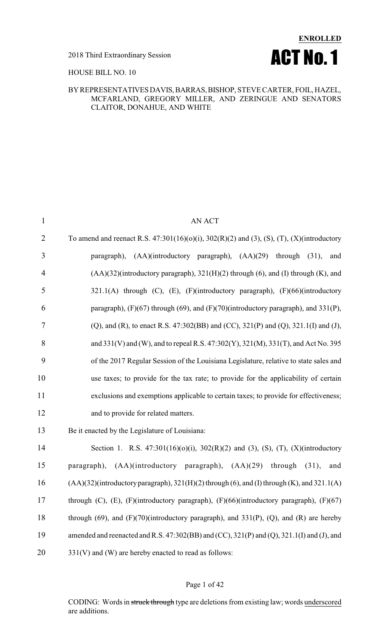

#### HOUSE BILL NO. 10

#### BYREPRESENTATIVESDAVIS,BARRAS,BISHOP, STEVE CARTER, FOIL, HAZEL, MCFARLAND, GREGORY MILLER, AND ZERINGUE AND SENATORS CLAITOR, DONAHUE, AND WHITE

| $\mathbf{1}$   | <b>AN ACT</b>                                                                                          |
|----------------|--------------------------------------------------------------------------------------------------------|
| $\overline{2}$ | To amend and reenact R.S. $47:301(16)(0)(i)$ , $302(R)(2)$ and (3), (S), (T), (X)(introductory         |
| 3              | $(AA)(introducing paragraph), (AA)(29) through (31),$<br>paragraph),<br>and                            |
| $\overline{4}$ | (AA)(32)(introductory paragraph), 321(H)(2) through (6), and (I) through (K), and                      |
| 5              | $321.1(A)$ through (C), (E), (F)(introductory paragraph), (F)(66)(introductory                         |
| 6              | paragraph), $(F)(67)$ through $(69)$ , and $(F)(70)$ (introductory paragraph), and 331(P),             |
| $\overline{7}$ | (Q), and (R), to enact R.S. 47:302(BB) and (CC), 321(P) and (Q), 321.1(I) and (J),                     |
| 8              | and 331(V) and (W), and to repeal R.S. 47:302(Y), 321(M), 331(T), and Act No. 395                      |
| 9              | of the 2017 Regular Session of the Louisiana Legislature, relative to state sales and                  |
| 10             | use taxes; to provide for the tax rate; to provide for the applicability of certain                    |
| 11             | exclusions and exemptions applicable to certain taxes; to provide for effectiveness;                   |
| 12             | and to provide for related matters.                                                                    |
| 13             | Be it enacted by the Legislature of Louisiana:                                                         |
| 14             | Section 1. R.S. $47:301(16)(0)(i)$ , $302(R)(2)$ and (3), (S), (T), (X)(introductory                   |
| 15             | $(AA)(introducing paragraph), (AA)(29) through (31),$<br>paragraph),<br>and                            |
| 16             | (AA)(32)(introductory paragraph), 321(H)(2) through (6), and (I) through (K), and 321.1(A)             |
| 17             | through $(C)$ , $(E)$ , $(F)$ (introductory paragraph), $(F)$ (66)(introductory paragraph), $(F)$ (67) |
| 18             | through $(69)$ , and $(F)(70)$ (introductory paragraph), and 331(P), (Q), and (R) are hereby           |
| 19             | amended and reenacted and R.S. 47:302(BB) and (CC), 321(P) and (Q), 321.1(I) and (J), and              |
| 20             | $331(V)$ and (W) are hereby enacted to read as follows:                                                |
|                |                                                                                                        |

#### Page 1 of 42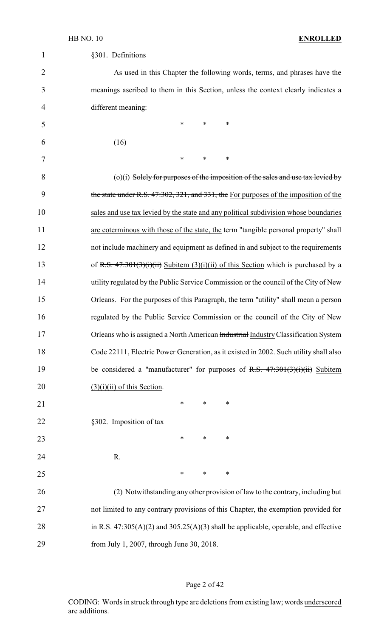| 1              | §301. Definitions                                                                      |
|----------------|----------------------------------------------------------------------------------------|
| $\overline{2}$ | As used in this Chapter the following words, terms, and phrases have the               |
| 3              | meanings ascribed to them in this Section, unless the context clearly indicates a      |
| 4              | different meaning:                                                                     |
| 5              | $\ast$<br>$\ast$<br>∗                                                                  |
| 6              | (16)                                                                                   |
| 7              | $\ast$<br>∗<br>∗                                                                       |
| 8              | $(0)(i)$ Solely for purposes of the imposition of the sales and use tax levied by      |
| 9              | the state under R.S. 47:302, 321, and 331, the For purposes of the imposition of the   |
| 10             | sales and use tax levied by the state and any political subdivision whose boundaries   |
| 11             | are coterminous with those of the state, the term "tangible personal property" shall   |
| 12             | not include machinery and equipment as defined in and subject to the requirements      |
| 13             | of R.S. $47:301(3)(i)(ii)$ Subitem (3)(i)(ii) of this Section which is purchased by a  |
| 14             | utility regulated by the Public Service Commission or the council of the City of New   |
| 15             | Orleans. For the purposes of this Paragraph, the term "utility" shall mean a person    |
| 16             | regulated by the Public Service Commission or the council of the City of New           |
| 17             | Orleans who is assigned a North American Industrial Industry Classification System     |
| 18             | Code 22111, Electric Power Generation, as it existed in 2002. Such utility shall also  |
| 19             | be considered a "manufacturer" for purposes of R.S. $47:301(3)(i)(ii)$ Subitem         |
| 20             | $(3)(i)(ii)$ of this Section.                                                          |
| 21             | *<br>$\ast$<br>∗                                                                       |
| 22             | §302. Imposition of tax                                                                |
| 23             | $\ast$<br>$\ast$<br>$\ast$                                                             |
| 24             | R.                                                                                     |
| 25             | ∗<br>$\ast$<br>∗                                                                       |
| 26             | (2) Notwithstanding any other provision of law to the contrary, including but          |
| 27             | not limited to any contrary provisions of this Chapter, the exemption provided for     |
| 28             | in R.S. $47:305(A)(2)$ and $305.25(A)(3)$ shall be applicable, operable, and effective |
| 29             | from July 1, 2007, through June 30, 2018.                                              |

## Page 2 of 42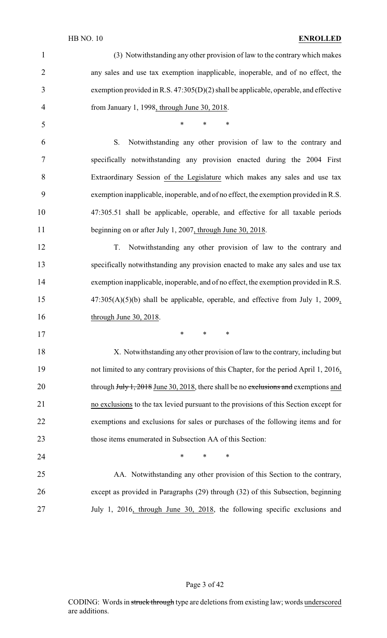#### HB NO. 10 **ENROLLED**

| $\mathbf{1}$   | (3) Notwithstanding any other provision of law to the contrary which makes             |
|----------------|----------------------------------------------------------------------------------------|
| $\overline{2}$ | any sales and use tax exemption inapplicable, inoperable, and of no effect, the        |
| 3              | exemption provided in R.S. $47:305(D)(2)$ shall be applicable, operable, and effective |
| 4              | from January 1, 1998, through June 30, 2018.                                           |
| 5              | *<br>$\ast$<br>$\ast$                                                                  |
| 6              | S.<br>Notwithstanding any other provision of law to the contrary and                   |
| 7              | specifically notwithstanding any provision enacted during the 2004 First               |
| 8              | Extraordinary Session of the Legislature which makes any sales and use tax             |
| 9              | exemption inapplicable, inoperable, and of no effect, the exemption provided in R.S.   |
| 10             | 47:305.51 shall be applicable, operable, and effective for all taxable periods         |
| 11             | beginning on or after July 1, 2007, through June 30, 2018.                             |
| 12             | Notwithstanding any other provision of law to the contrary and<br>T.                   |
| 13             | specifically notwithstanding any provision enacted to make any sales and use tax       |
| 14             | exemption inapplicable, inoperable, and of no effect, the exemption provided in R.S.   |
| 15             | $47:305(A)(5)(b)$ shall be applicable, operable, and effective from July 1, 2009,      |
| 16             | through June 30, 2018.                                                                 |
| 17             | ∗<br>∗<br>∗                                                                            |
| 18             | X. Notwithstanding any other provision of law to the contrary, including but           |
| 19             | not limited to any contrary provisions of this Chapter, for the period April 1, 2016,  |
| 20             | through $July 1, 2018$ June 30, 2018, there shall be no exclusions and exemptions and  |
| 21             | no exclusions to the tax levied pursuant to the provisions of this Section except for  |
| 22             | exemptions and exclusions for sales or purchases of the following items and for        |
| 23             | those items enumerated in Subsection AA of this Section:                               |
| 24             | $\ast$<br>*<br>$\ast$                                                                  |
| 25             | AA. Notwithstanding any other provision of this Section to the contrary,               |
| 26             | except as provided in Paragraphs (29) through (32) of this Subsection, beginning       |
| 27             | July 1, 2016, through June 30, 2018, the following specific exclusions and             |

## Page 3 of 42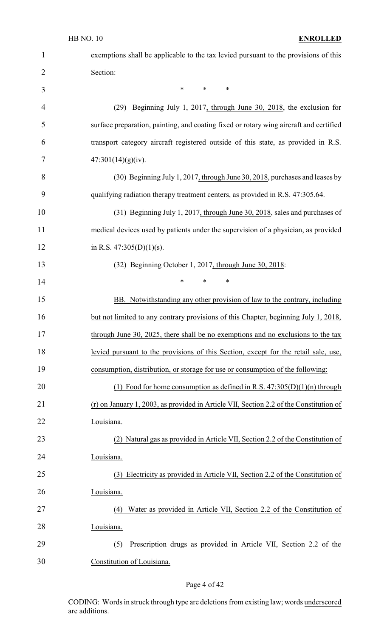| $\mathbf{1}$   | exemptions shall be applicable to the tax levied pursuant to the provisions of this    |
|----------------|----------------------------------------------------------------------------------------|
| $\overline{2}$ | Section:                                                                               |
| 3              | $\ast$<br>$\ast$<br>$\ast$                                                             |
| 4              | (29) Beginning July 1, 2017, through June 30, 2018, the exclusion for                  |
| 5              | surface preparation, painting, and coating fixed or rotary wing aircraft and certified |
| 6              | transport category aircraft registered outside of this state, as provided in R.S.      |
| 7              | 47:301(14)(g)(iv).                                                                     |
| 8              | (30) Beginning July 1, 2017, through June 30, 2018, purchases and leases by            |
| 9              | qualifying radiation therapy treatment centers, as provided in R.S. 47:305.64.         |
| 10             | (31) Beginning July 1, 2017, through June 30, 2018, sales and purchases of             |
| 11             | medical devices used by patients under the supervision of a physician, as provided     |
| 12             | in R.S. $47:305(D)(1)(s)$ .                                                            |
| 13             | (32) Beginning October 1, 2017, through June 30, 2018:                                 |
| 14             | $\ast$<br>∗<br>*                                                                       |
| 15             | BB. Notwithstanding any other provision of law to the contrary, including              |
| 16             | but not limited to any contrary provisions of this Chapter, beginning July 1, 2018,    |
| 17             | through June 30, 2025, there shall be no exemptions and no exclusions to the tax       |
| 18             | levied pursuant to the provisions of this Section, except for the retail sale, use,    |
| 19             | consumption, distribution, or storage for use or consumption of the following:         |
| 20             | (1) Food for home consumption as defined in R.S. $47:305(D)(1)(n)$ through             |
| 21             | (r) on January 1, 2003, as provided in Article VII, Section 2.2 of the Constitution of |
| 22             | Louisiana.                                                                             |
| 23             | (2) Natural gas as provided in Article VII, Section 2.2 of the Constitution of         |
| 24             | Louisiana.                                                                             |
| 25             | Electricity as provided in Article VII, Section 2.2 of the Constitution of<br>(3)      |
| 26             | Louisiana.                                                                             |
| 27             | Water as provided in Article VII, Section 2.2 of the Constitution of<br>(4)            |
| 28             | Louisiana.                                                                             |
| 29             | Prescription drugs as provided in Article VII, Section 2.2 of the<br>(5)               |
| 30             | Constitution of Louisiana.                                                             |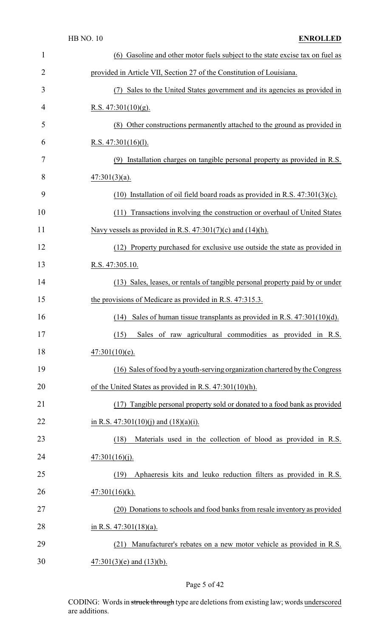|                | <b>HB NO. 10</b><br><b>ENROLLED</b>                                                |
|----------------|------------------------------------------------------------------------------------|
| 1              | (6) Gasoline and other motor fuels subject to the state excise tax on fuel as      |
| $\overline{2}$ | provided in Article VII, Section 27 of the Constitution of Louisiana.              |
| 3              | Sales to the United States government and its agencies as provided in<br>(7)       |
| 4              | R.S. $47:301(10)(g)$ .                                                             |
| 5              | (8) Other constructions permanently attached to the ground as provided in          |
| 6              | R.S. $47:301(16)(1)$ .                                                             |
| 7              | (9) Installation charges on tangible personal property as provided in R.S.         |
| 8              | $47:301(3)(a)$ .                                                                   |
| 9              | Installation of oil field board roads as provided in R.S. $47:301(3)(c)$ .<br>(10) |
| 10             | Transactions involving the construction or overhaul of United States<br>(11)       |
| 11             | Navy vessels as provided in R.S. $47:301(7)(c)$ and $(14)(h)$ .                    |
| 12             | (12) Property purchased for exclusive use outside the state as provided in         |
| 13             | R.S. 47:305.10.                                                                    |
| 14             | (13) Sales, leases, or rentals of tangible personal property paid by or under      |
| 15             | the provisions of Medicare as provided in R.S. 47:315.3.                           |
| 16             | $(14)$ Sales of human tissue transplants as provided in R.S. $47:301(10)(d)$ .     |
| 17             | Sales of raw agricultural commodities as provided in R.S.<br>(15)                  |
| 18             | $47:301(10)(e)$ .                                                                  |
| 19             | (16) Sales of food by a youth-serving organization chartered by the Congress       |
| 20             | of the United States as provided in R.S. $47:301(10)(h)$ .                         |
| 21             | (17) Tangible personal property sold or donated to a food bank as provided         |
| 22             | in R.S. $47:301(10)(j)$ and $(18)(a)(i)$ .                                         |
| 23             | Materials used in the collection of blood as provided in R.S.<br>(18)              |
| 24             | 47:301(16)(j).                                                                     |
| 25             | Aphaeresis kits and leuko reduction filters as provided in R.S.<br>(19)            |
| 26             | $47:301(16)(k)$ .                                                                  |
| 27             | (20) Donations to schools and food banks from resale inventory as provided         |
| 28             | in R.S. $47:301(18)(a)$ .                                                          |
| 29             | Manufacturer's rebates on a new motor vehicle as provided in R.S.<br>(21)          |
| 30             | $47:301(3)$ (e) and $(13)$ (b).                                                    |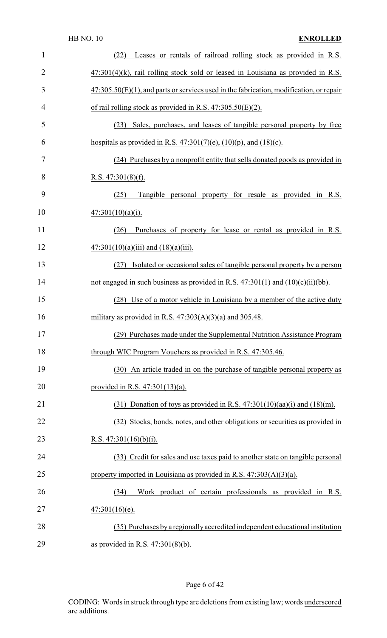| $\mathbf{1}$   | Leases or rentals of railroad rolling stock as provided in R.S.<br>(22)                    |
|----------------|--------------------------------------------------------------------------------------------|
| $\overline{2}$ | $47:301(4)$ (k), rail rolling stock sold or leased in Louisiana as provided in R.S.        |
| 3              | $47:305.50(E)(1)$ , and parts or services used in the fabrication, modification, or repair |
| $\overline{4}$ | of rail rolling stock as provided in R.S. $47:305.50(E)(2)$ .                              |
| 5              | Sales, purchases, and leases of tangible personal property by free<br>(23)                 |
| 6              | hospitals as provided in R.S. $47:301(7)(e)$ , $(10)(p)$ , and $(18)(c)$ .                 |
| 7              | (24) Purchases by a nonprofit entity that sells donated goods as provided in               |
| 8              | R.S. $47:301(8)(f)$ .                                                                      |
| 9              | Tangible personal property for resale as provided in R.S.<br>(25)                          |
| 10             | $47:301(10)(a)(i)$ .                                                                       |
| 11             | Purchases of property for lease or rental as provided in R.S.<br>(26)                      |
| 12             | $47:301(10)(a)(iii)$ and $(18)(a)(iii)$ .                                                  |
| 13             | Isolated or occasional sales of tangible personal property by a person<br>(27)             |
| 14             | not engaged in such business as provided in R.S. $47:301(1)$ and $(10)(c)(ii)(bb)$ .       |
| 15             | (28) Use of a motor vehicle in Louisiana by a member of the active duty                    |
| 16             | military as provided in R.S. $47:303(A)(3)(a)$ and 305.48.                                 |
| 17             | (29) Purchases made under the Supplemental Nutrition Assistance Program                    |
| 18             | through WIC Program Vouchers as provided in R.S. 47:305.46.                                |
| 19             | (30) An article traded in on the purchase of tangible personal property as                 |
| 20             | provided in R.S. $47:301(13)(a)$ .                                                         |
| 21             | $(31)$ Donation of toys as provided in R.S. 47:301(10)(aa)(i) and (18)(m).                 |
| 22             | (32) Stocks, bonds, notes, and other obligations or securities as provided in              |
| 23             | R.S. $47:301(16)(b)(i)$ .                                                                  |
| 24             | (33) Credit for sales and use taxes paid to another state on tangible personal             |
| 25             | property imported in Louisiana as provided in R.S. $47:303(A)(3)(a)$ .                     |
| 26             | Work product of certain professionals as provided in R.S.<br>(34)                          |
| 27             | $47:301(16)(e)$ .                                                                          |
| 28             | (35) Purchases by a regionally accredited independent educational institution              |
| 29             | as provided in R.S. $47:301(8)(b)$ .                                                       |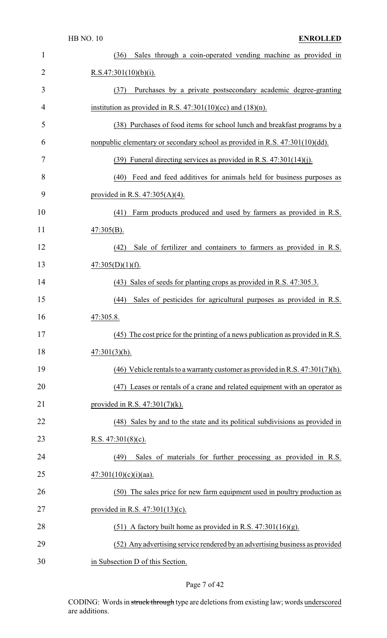| 1              | Sales through a coin-operated vending machine as provided in<br>(36)             |
|----------------|----------------------------------------------------------------------------------|
| $\overline{2}$ | R.S.47:301(10)(b)(i).                                                            |
| 3              | Purchases by a private postsecondary academic degree-granting<br>(37)            |
| $\overline{4}$ | institution as provided in R.S. $47:301(10)(cc)$ and $(18)(n)$ .                 |
| 5              | (38) Purchases of food items for school lunch and breakfast programs by a        |
| 6              | nonpublic elementary or secondary school as provided in R.S. 47:301(10)(dd).     |
| 7              | $(39)$ Funeral directing services as provided in R.S. 47:301(14)(j).             |
| 8              | (40) Feed and feed additives for animals held for business purposes as           |
| 9              | provided in R.S. $47:305(A)(4)$ .                                                |
| 10             | Farm products produced and used by farmers as provided in R.S.<br>(41)           |
| 11             | $47:305(B)$ .                                                                    |
| 12             | (42)<br>Sale of fertilizer and containers to farmers as provided in R.S.         |
| 13             | $47:305(D)(1)(f)$ .                                                              |
| 14             | (43) Sales of seeds for planting crops as provided in R.S. 47:305.3.             |
| 15             | Sales of pesticides for agricultural purposes as provided in R.S.<br>(44)        |
| 16             | 47:305.8.                                                                        |
| 17             | $(45)$ The cost price for the printing of a news publication as provided in R.S. |
| 18             | $47:301(3)(h)$ .                                                                 |
| 19             | (46) Vehicle rentals to a warranty customer as provided in R.S. $47:301(7)$ (h). |
| 20             | (47) Leases or rentals of a crane and related equipment with an operator as      |
| 21             | provided in R.S. $47:301(7)(k)$ .                                                |
| 22             | (48) Sales by and to the state and its political subdivisions as provided in     |
| 23             | R.S. $47:301(8)(c)$ .                                                            |
| 24             | Sales of materials for further processing as provided in R.S.<br>(49)            |
| 25             | $47:301(10)(c)(i)(aa)$ .                                                         |
| 26             | (50) The sales price for new farm equipment used in poultry production as        |
| 27             | provided in R.S. $47:301(13)(c)$ .                                               |
| 28             | (51) A factory built home as provided in R.S. $47:301(16)(g)$ .                  |
| 29             | (52) Any advertising service rendered by an advertising business as provided     |
| 30             | in Subsection D of this Section.                                                 |

## Page 7 of 42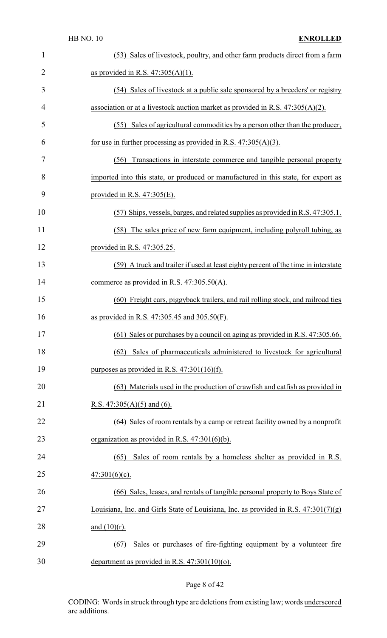| $\mathbf{1}$   | (53) Sales of livestock, poultry, and other farm products direct from a farm          |
|----------------|---------------------------------------------------------------------------------------|
| $\overline{2}$ | as provided in R.S. $47:305(A)(1)$ .                                                  |
| 3              | (54) Sales of livestock at a public sale sponsored by a breeders' or registry         |
| 4              | association or at a livestock auction market as provided in R.S. $47:305(A)(2)$ .     |
| 5              | (55) Sales of agricultural commodities by a person other than the producer,           |
| 6              | for use in further processing as provided in R.S. $47:305(A)(3)$ .                    |
| 7              | Transactions in interstate commerce and tangible personal property<br>(56)            |
| 8              | imported into this state, or produced or manufactured in this state, for export as    |
| 9              | provided in R.S. $47:305(E)$ .                                                        |
| 10             | (57) Ships, vessels, barges, and related supplies as provided in R.S. 47:305.1.       |
| 11             | (58) The sales price of new farm equipment, including polyroll tubing, as             |
| 12             | provided in R.S. 47:305.25.                                                           |
| 13             | (59) A truck and trailer if used at least eighty percent of the time in interstate    |
| 14             | commerce as provided in R.S. $47:305.50(A)$ .                                         |
| 15             | (60) Freight cars, piggyback trailers, and rail rolling stock, and railroad ties      |
| 16             | as provided in R.S. $47:305.45$ and $305.50(F)$ .                                     |
| 17             | $(61)$ Sales or purchases by a council on aging as provided in R.S. 47:305.66.        |
| 18             | Sales of pharmaceuticals administered to livestock for agricultural<br>(62)           |
| 19             | purposes as provided in R.S. $47:301(16)(f)$ .                                        |
| 20             | (63) Materials used in the production of crawfish and catfish as provided in          |
| 21             | R.S. $47:305(A)(5)$ and (6).                                                          |
| 22             | (64) Sales of room rentals by a camp or retreat facility owned by a nonprofit         |
| 23             | organization as provided in R.S. $47:301(6)(b)$ .                                     |
| 24             | Sales of room rentals by a homeless shelter as provided in R.S.<br>(65)               |
| 25             | $47:301(6)(c)$ .                                                                      |
| 26             | (66) Sales, leases, and rentals of tangible personal property to Boys State of        |
| 27             | Louisiana, Inc. and Girls State of Louisiana, Inc. as provided in R.S. $47:301(7)(g)$ |
| 28             | and $(10)(r)$ .                                                                       |
| 29             | Sales or purchases of fire-fighting equipment by a volunteer fire<br>(67)             |
| 30             | department as provided in R.S. $47:301(10)(o)$ .                                      |

## Page 8 of 42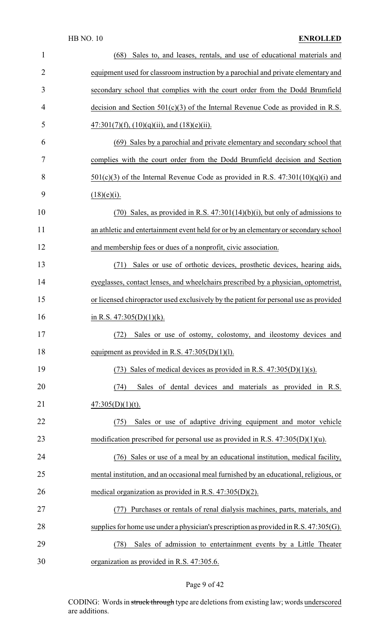#### HB NO. 10 **ENROLLED**

| $\mathbf{1}$   | Sales to, and leases, rentals, and use of educational materials and<br>(68)              |
|----------------|------------------------------------------------------------------------------------------|
| $\overline{2}$ | equipment used for classroom instruction by a parochial and private elementary and       |
| 3              | secondary school that complies with the court order from the Dodd Brumfield              |
| 4              | decision and Section $501(c)(3)$ of the Internal Revenue Code as provided in R.S.        |
| 5              | $47:301(7)(f)$ , $(10)(q)(ii)$ , and $(18)(e)(ii)$ .                                     |
| 6              | (69) Sales by a parochial and private elementary and secondary school that               |
| 7              | complies with the court order from the Dodd Brumfield decision and Section               |
| 8              | $501(c)(3)$ of the Internal Revenue Code as provided in R.S. $47:301(10)(q)(i)$ and      |
| 9              | $(18)(e)(i)$ .                                                                           |
| 10             | $(70)$ Sales, as provided in R.S. $47:301(14)(b)(i)$ , but only of admissions to         |
| 11             | an athletic and entertainment event held for or by an elementary or secondary school     |
| 12             | and membership fees or dues of a nonprofit, civic association.                           |
| 13             | Sales or use of orthotic devices, prosthetic devices, hearing aids,<br>(71)              |
| 14             | eyeglasses, contact lenses, and wheelchairs prescribed by a physician, optometrist,      |
| 15             | or licensed chiropractor used exclusively by the patient for personal use as provided    |
| 16             | in R.S. $47:305(D)(1)(k)$ .                                                              |
| 17             | (72) Sales or use of ostomy, colostomy, and ileostomy devices and                        |
| 18             | equipment as provided in R.S. $47:305(D)(1)(1)$ .                                        |
| 19             | (73) Sales of medical devices as provided in R.S. $47:305(D)(1)(s)$ .                    |
| 20             | Sales of dental devices and materials as provided in R.S.<br>(74)                        |
| 21             | $47:305(D)(1)(t)$ .                                                                      |
| 22             | Sales or use of adaptive driving equipment and motor vehicle<br>(75)                     |
| 23             | modification prescribed for personal use as provided in R.S. $47:305(D)(1)(u)$ .         |
| 24             | (76) Sales or use of a meal by an educational institution, medical facility,             |
| 25             | mental institution, and an occasional meal furnished by an educational, religious, or    |
| 26             | medical organization as provided in R.S. $47:305(D)(2)$ .                                |
| 27             | Purchases or rentals of renal dialysis machines, parts, materials, and<br>(77)           |
| 28             | supplies for home use under a physician's prescription as provided in R.S. $47:305(G)$ . |
| 29             | Sales of admission to entertainment events by a Little Theater<br>(78)                   |
| 30             | organization as provided in R.S. 47:305.6.                                               |

## Page 9 of 42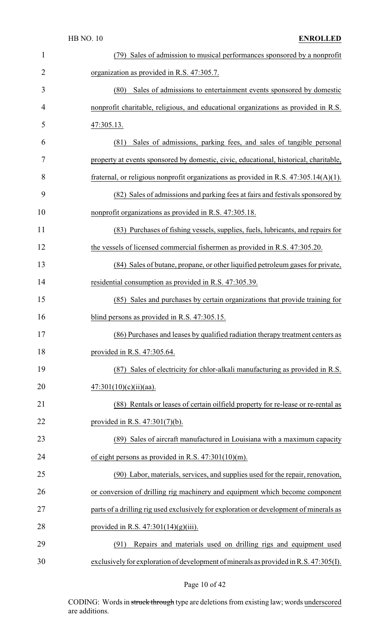|                | <b>HB NO. 10</b><br><b>ENROLLED</b>                                                     |
|----------------|-----------------------------------------------------------------------------------------|
| $\mathbf{1}$   | (79) Sales of admission to musical performances sponsored by a nonprofit                |
| $\overline{2}$ | organization as provided in R.S. 47:305.7.                                              |
| 3              | Sales of admissions to entertainment events sponsored by domestic<br>(80)               |
| 4              | nonprofit charitable, religious, and educational organizations as provided in R.S.      |
| 5              | 47:305.13.                                                                              |
| 6              | Sales of admissions, parking fees, and sales of tangible personal<br>(81)               |
| 7              | property at events sponsored by domestic, civic, educational, historical, charitable,   |
| 8              | fraternal, or religious nonprofit organizations as provided in R.S. $47:305.14(A)(1)$ . |
| 9              | (82) Sales of admissions and parking fees at fairs and festivals sponsored by           |
| 10             | nonprofit organizations as provided in R.S. 47:305.18.                                  |
| 11             | (83) Purchases of fishing vessels, supplies, fuels, lubricants, and repairs for         |
| 12             | the vessels of licensed commercial fishermen as provided in R.S. 47:305.20.             |
| 13             | (84) Sales of butane, propane, or other liquified petroleum gases for private,          |
| 14             | residential consumption as provided in R.S. 47:305.39.                                  |
| 15             | Sales and purchases by certain organizations that provide training for<br>(85)          |
| 16             | blind persons as provided in R.S. 47:305.15.                                            |
| 17             | (86) Purchases and leases by qualified radiation therapy treatment centers as           |
| 18             | provided in R.S. 47:305.64.                                                             |
| 19             | (87) Sales of electricity for chlor-alkali manufacturing as provided in R.S.            |
| 20             | $47:301(10)(c)(ii)(aa)$ .                                                               |
| 21             | (88) Rentals or leases of certain oilfield property for re-lease or re-rental as        |
| 22             | provided in R.S. $47:301(7)(b)$ .                                                       |
| 23             | (89) Sales of aircraft manufactured in Louisiana with a maximum capacity                |
| 24             | of eight persons as provided in R.S. $47:301(10)(m)$ .                                  |
| 25             | (90) Labor, materials, services, and supplies used for the repair, renovation,          |
| 26             | or conversion of drilling rig machinery and equipment which become component            |
| 27             | parts of a drilling rig used exclusively for exploration or development of minerals as  |
| 28             | provided in R.S. $47:301(14)(g)(iii)$ .                                                 |
| 29             | Repairs and materials used on drilling rigs and equipment used<br>(91)                  |
| 30             | exclusively for exploration of development of minerals as provided in R.S. 47:305(I).   |

Page 10 of 42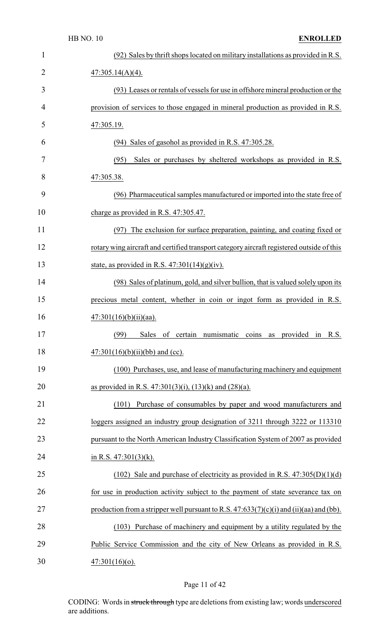|                | <b>HB NO. 10</b><br><b>ENROLLED</b>                                                       |
|----------------|-------------------------------------------------------------------------------------------|
| 1              | (92) Sales by thrift shops located on military installations as provided in R.S.          |
| $\overline{2}$ | $47:305.14(A)(4)$ .                                                                       |
| 3              | (93) Leases or rentals of vessels for use in offshore mineral production or the           |
| 4              | provision of services to those engaged in mineral production as provided in R.S.          |
| 5              | 47:305.19.                                                                                |
| 6              | (94) Sales of gasohol as provided in R.S. 47:305.28.                                      |
| 7              | Sales or purchases by sheltered workshops as provided in R.S.<br>(95)                     |
| 8              | 47:305.38.                                                                                |
| 9              | (96) Pharmaceutical samples manufactured or imported into the state free of               |
| 10             | charge as provided in R.S. 47:305.47.                                                     |
| 11             | The exclusion for surface preparation, painting, and coating fixed or<br>(97)             |
| 12             | rotary wing aircraft and certified transport category aircraft registered outside of this |
| 13             | state, as provided in R.S. $47:301(14)(g)(iv)$ .                                          |
| 14             | (98) Sales of platinum, gold, and silver bullion, that is valued solely upon its          |
| 15             | precious metal content, whether in coin or ingot form as provided in R.S.                 |
| 16             | $47:301(16)(b)(ii)(aa)$ .                                                                 |
| 17             | of certain numismatic<br>(99)<br>Sales<br>coins as<br>provided in<br>R.S.                 |
| 18             | $47:301(16)(b)(ii)(bb)$ and (cc).                                                         |
| 19             | (100) Purchases, use, and lease of manufacturing machinery and equipment                  |
| 20             | as provided in R.S. $47:301(3)(i)$ , $(13)(k)$ and $(28)(a)$ .                            |
| 21             | (101) Purchase of consumables by paper and wood manufacturers and                         |
| 22             | loggers assigned an industry group designation of 3211 through 3222 or 113310             |
| 23             | pursuant to the North American Industry Classification System of 2007 as provided         |
| 24             | in R.S. $47:301(3)(k)$ .                                                                  |
| 25             | (102) Sale and purchase of electricity as provided in R.S. $47:305(D)(1)(d)$              |
| 26             | for use in production activity subject to the payment of state severance tax on           |
| 27             | production from a stripper well pursuant to R.S. $47:633(7)(c)(i)$ and (ii)(aa) and (bb). |
| 28             | (103) Purchase of machinery and equipment by a utility regulated by the                   |
| 29             | Public Service Commission and the city of New Orleans as provided in R.S.                 |
| 30             | $47:301(16)(o)$ .                                                                         |

# Page 11 of 42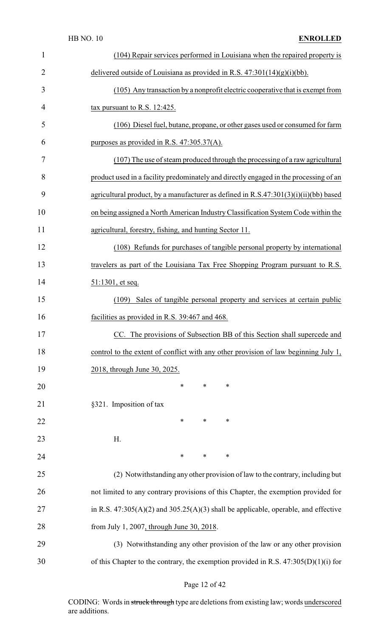| 1              | (104) Repair services performed in Louisiana when the repaired property is             |
|----------------|----------------------------------------------------------------------------------------|
| $\overline{2}$ | delivered outside of Louisiana as provided in R.S. $47:301(14)(g)(i)(bb)$ .            |
| 3              | (105) Any transaction by a nonprofit electric cooperative that is exempt from          |
| 4              | tax pursuant to R.S. 12:425.                                                           |
| 5              | (106) Diesel fuel, butane, propane, or other gases used or consumed for farm           |
| 6              | purposes as provided in R.S. $47:305.37(A)$ .                                          |
| 7              | (107) The use of steam produced through the processing of a raw agricultural           |
| 8              | product used in a facility predominately and directly engaged in the processing of an  |
| 9              | agricultural product, by a manufacturer as defined in R.S.47:301(3)(i)(ii)(bb) based   |
| 10             | on being assigned a North American Industry Classification System Code within the      |
| 11             | agricultural, forestry, fishing, and hunting Sector 11.                                |
| 12             | (108) Refunds for purchases of tangible personal property by international             |
| 13             | travelers as part of the Louisiana Tax Free Shopping Program pursuant to R.S.          |
| 14             | 51:1301, et seq.                                                                       |
| 15             | Sales of tangible personal property and services at certain public<br>(109)            |
| 16             | facilities as provided in R.S. 39:467 and 468.                                         |
| 17             | CC. The provisions of Subsection BB of this Section shall supercede and                |
| 18             | control to the extent of conflict with any other provision of law beginning July 1,    |
| 19             | 2018, through June 30, 2025.                                                           |
| 20             | ∗<br>∗<br>∗                                                                            |
| 21             | §321. Imposition of tax                                                                |
| 22             | ∗<br>∗<br>∗                                                                            |
| 23             | H.                                                                                     |
| 24             | *<br>$\ast$<br>$\ast$                                                                  |
| 25             | (2) Notwithstanding any other provision of law to the contrary, including but          |
| 26             | not limited to any contrary provisions of this Chapter, the exemption provided for     |
| 27             | in R.S. $47:305(A)(2)$ and $305.25(A)(3)$ shall be applicable, operable, and effective |
| 28             | from July 1, 2007, through June 30, 2018.                                              |
| 29             | (3) Notwithstanding any other provision of the law or any other provision              |
| 30             | of this Chapter to the contrary, the exemption provided in R.S. $47:305(D)(1)(i)$ for  |

## Page 12 of 42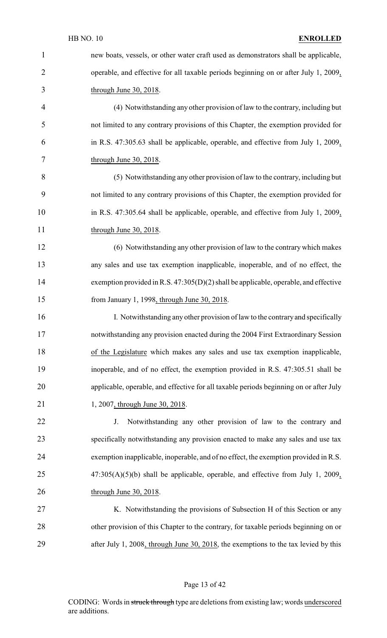| $\mathbf{1}$   | new boats, vessels, or other water craft used as demonstrators shall be applicable,    |
|----------------|----------------------------------------------------------------------------------------|
| $\overline{2}$ | operable, and effective for all taxable periods beginning on or after July 1, 2009,    |
| 3              | through June 30, 2018.                                                                 |
| 4              | (4) Notwithstanding any other provision of law to the contrary, including but          |
| 5              | not limited to any contrary provisions of this Chapter, the exemption provided for     |
| 6              | in R.S. 47:305.63 shall be applicable, operable, and effective from July 1, 2009,      |
| 7              | through June 30, 2018.                                                                 |
| 8              | (5) Notwithstanding any other provision of law to the contrary, including but          |
| 9              | not limited to any contrary provisions of this Chapter, the exemption provided for     |
| 10             | in R.S. 47:305.64 shall be applicable, operable, and effective from July 1, 2009,      |
| 11             | through June 30, 2018.                                                                 |
| 12             | (6) Notwithstanding any other provision of law to the contrary which makes             |
| 13             | any sales and use tax exemption inapplicable, inoperable, and of no effect, the        |
| 14             | exemption provided in R.S. $47:305(D)(2)$ shall be applicable, operable, and effective |
| 15             | from January 1, 1998, through June 30, 2018.                                           |
| 16             | I. Notwithstanding any other provision of law to the contrary and specifically         |
| 17             | notwithstanding any provision enacted during the 2004 First Extraordinary Session      |
| 18             | of the Legislature which makes any sales and use tax exemption inapplicable,           |
| 19             | inoperable, and of no effect, the exemption provided in R.S. 47:305.51 shall be        |
| 20             | applicable, operable, and effective for all taxable periods beginning on or after July |
| 21             | 1, 2007, through June 30, 2018.                                                        |
| 22             | Notwithstanding any other provision of law to the contrary and<br>J.                   |
| 23             | specifically notwithstanding any provision enacted to make any sales and use tax       |
| 24             | exemption inapplicable, inoperable, and of no effect, the exemption provided in R.S.   |
| 25             | $47:305(A)(5)(b)$ shall be applicable, operable, and effective from July 1, 2009,      |
| 26             | through June 30, 2018.                                                                 |
| 27             | K. Notwithstanding the provisions of Subsection H of this Section or any               |
| 28             | other provision of this Chapter to the contrary, for taxable periods beginning on or   |
| 29             | after July 1, 2008, through June 30, 2018, the exemptions to the tax levied by this    |

## Page 13 of 42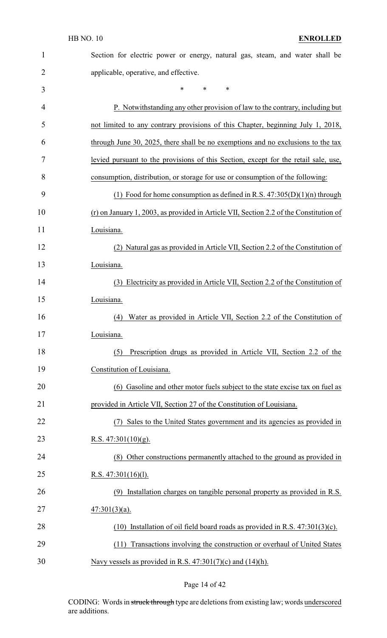| $\mathbf{1}$   | Section for electric power or energy, natural gas, steam, and water shall be           |
|----------------|----------------------------------------------------------------------------------------|
| $\overline{2}$ | applicable, operative, and effective.                                                  |
| 3              | *<br>*<br>∗                                                                            |
| 4              | P. Notwithstanding any other provision of law to the contrary, including but           |
| 5              | not limited to any contrary provisions of this Chapter, beginning July 1, 2018,        |
| 6              | through June 30, 2025, there shall be no exemptions and no exclusions to the tax       |
| 7              | levied pursuant to the provisions of this Section, except for the retail sale, use,    |
| 8              | consumption, distribution, or storage for use or consumption of the following:         |
| 9              | (1) Food for home consumption as defined in R.S. $47:305(D)(1)(n)$ through             |
| 10             | (r) on January 1, 2003, as provided in Article VII, Section 2.2 of the Constitution of |
| 11             | Louisiana.                                                                             |
| 12             | (2) Natural gas as provided in Article VII, Section 2.2 of the Constitution of         |
| 13             | Louisiana.                                                                             |
| 14             | (3) Electricity as provided in Article VII, Section 2.2 of the Constitution of         |
| 15             | Louisiana.                                                                             |
| 16             | Water as provided in Article VII, Section 2.2 of the Constitution of<br>(4)            |
| 17             | Louisiana.                                                                             |
| 18             | Prescription drugs as provided in Article VII, Section 2.2 of the<br>(5)               |
| 19             | Constitution of Louisiana.                                                             |
| 20             | (6) Gasoline and other motor fuels subject to the state excise tax on fuel as          |
| 21             | provided in Article VII, Section 27 of the Constitution of Louisiana.                  |
| 22             | Sales to the United States government and its agencies as provided in                  |
| 23             | R.S. $47:301(10)(g)$ .                                                                 |
| 24             | (8) Other constructions permanently attached to the ground as provided in              |
| 25             | R.S. $47:301(16)(1)$ .                                                                 |
| 26             | (9) Installation charges on tangible personal property as provided in R.S.             |
| 27             | $47:301(3)(a)$ .                                                                       |
| 28             | Installation of oil field board roads as provided in R.S. $47:301(3)(c)$ .<br>(10)     |
| 29             | Transactions involving the construction or overhaul of United States<br>(11)           |
| 30             | Navy vessels as provided in R.S. $47:301(7)(c)$ and $(14)(h)$ .                        |

## Page 14 of 42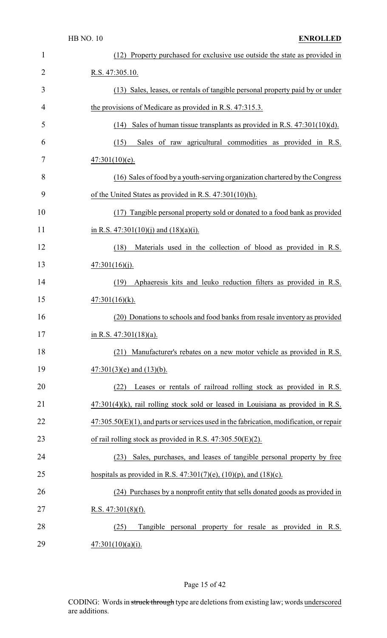| $\mathbf{1}$   | (12) Property purchased for exclusive use outside the state as provided in                 |
|----------------|--------------------------------------------------------------------------------------------|
| $\overline{2}$ | R.S. 47:305.10.                                                                            |
| 3              | (13) Sales, leases, or rentals of tangible personal property paid by or under              |
| $\overline{4}$ | the provisions of Medicare as provided in R.S. 47:315.3.                                   |
| 5              | Sales of human tissue transplants as provided in R.S. $47:301(10)(d)$ .<br>(14)            |
| 6              | Sales of raw agricultural commodities as provided in R.S.<br>(15)                          |
| 7              | $47:301(10)(e)$ .                                                                          |
| 8              | (16) Sales of food by a youth-serving organization chartered by the Congress               |
| 9              | of the United States as provided in R.S. 47:301(10)(h).                                    |
| 10             | (17) Tangible personal property sold or donated to a food bank as provided                 |
| 11             | in R.S. $47:301(10)(i)$ and $(18)(a)(i)$ .                                                 |
| 12             | (18)<br>Materials used in the collection of blood as provided in R.S.                      |
| 13             | 47:301(16)(j).                                                                             |
| 14             | Aphaeresis kits and leuko reduction filters as provided in R.S.<br>(19)                    |
| 15             | $47:301(16)(k)$ .                                                                          |
| 16             | (20) Donations to schools and food banks from resale inventory as provided                 |
| 17             | in R.S. $47:301(18)(a)$ .                                                                  |
| 18             | (21) Manufacturer's rebates on a new motor vehicle as provided in R.S.                     |
| 19             | $47:301(3)$ (e) and $(13)$ (b).                                                            |
| 20             | Leases or rentals of railroad rolling stock as provided in R.S.<br>(22)                    |
| 21             | $47:301(4)$ (k), rail rolling stock sold or leased in Louisiana as provided in R.S.        |
| 22             | $47:305.50(E)(1)$ , and parts or services used in the fabrication, modification, or repair |
| 23             | of rail rolling stock as provided in R.S. $47:305.50(E)(2)$ .                              |
| 24             | Sales, purchases, and leases of tangible personal property by free<br>(23)                 |
| 25             | hospitals as provided in R.S. $47:301(7)(e)$ , $(10)(p)$ , and $(18)(c)$ .                 |
| 26             | (24) Purchases by a nonprofit entity that sells donated goods as provided in               |
| 27             | R.S. $47:301(8)(f)$ .                                                                      |
| 28             | Tangible personal property for resale as provided in R.S.<br>(25)                          |
| 29             | $47:301(10)(a)(i)$ .                                                                       |

## Page 15 of 42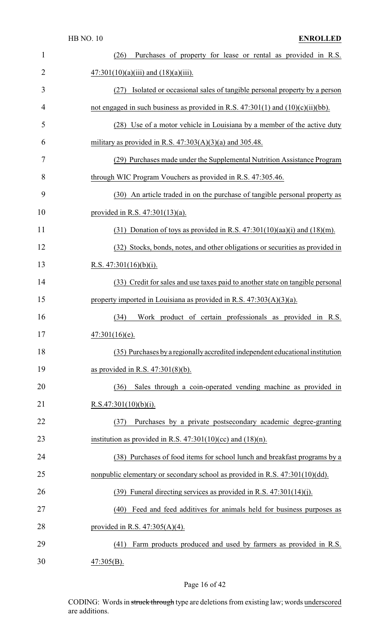| $\mathbf{1}$   | Purchases of property for lease or rental as provided in R.S.<br>(26)                |
|----------------|--------------------------------------------------------------------------------------|
| $\overline{2}$ | $47:301(10)(a)(iii)$ and $(18)(a)(iii)$ .                                            |
| 3              | Isolated or occasional sales of tangible personal property by a person<br>(27)       |
| 4              | not engaged in such business as provided in R.S. $47:301(1)$ and $(10)(c)(ii)(bb)$ . |
| 5              | (28) Use of a motor vehicle in Louisiana by a member of the active duty              |
| 6              | military as provided in R.S. $47:303(A)(3)(a)$ and 305.48.                           |
| 7              | (29) Purchases made under the Supplemental Nutrition Assistance Program              |
| 8              | through WIC Program Vouchers as provided in R.S. 47:305.46.                          |
| 9              | (30) An article traded in on the purchase of tangible personal property as           |
| 10             | provided in R.S. $47:301(13)(a)$ .                                                   |
| 11             | $(31)$ Donation of toys as provided in R.S. 47:301(10)(aa)(i) and (18)(m).           |
| 12             | (32) Stocks, bonds, notes, and other obligations or securities as provided in        |
| 13             | R.S. $47:301(16)(b)(i)$ .                                                            |
| 14             | (33) Credit for sales and use taxes paid to another state on tangible personal       |
| 15             | property imported in Louisiana as provided in R.S. $47:303(A)(3)(a)$ .               |
| 16             | Work product of certain professionals as provided in R.S.<br>(34)                    |
| 17             | $47:301(16)(e)$ .                                                                    |
| 18             | (35) Purchases by a regionally accredited independent educational institution        |
| 19             | as provided in R.S. $47:301(8)(b)$ .                                                 |
| 20             | Sales through a coin-operated vending machine as provided in<br>(36)                 |
| 21             | R.S.47:301(10)(b)(i).                                                                |
| 22             | Purchases by a private postsecondary academic degree-granting<br>(37)                |
| 23             | institution as provided in R.S. $47:301(10)(cc)$ and $(18)(n)$ .                     |
| 24             | (38) Purchases of food items for school lunch and breakfast programs by a            |
| 25             | nonpublic elementary or secondary school as provided in R.S. 47:301(10)(dd).         |
| 26             | $(39)$ Funeral directing services as provided in R.S. 47:301(14)(j).                 |
| 27             | Feed and feed additives for animals held for business purposes as<br>(40)            |
| 28             | provided in R.S. $47:305(A)(4)$ .                                                    |
| 29             | Farm products produced and used by farmers as provided in R.S.<br>(41)               |
| 30             | $47:305(B)$ .                                                                        |

## Page 16 of 42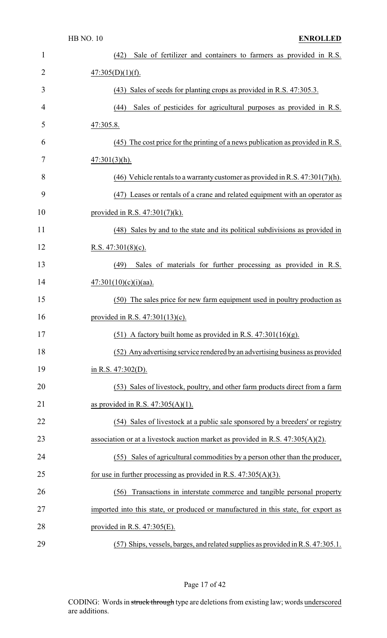| 1              | (42) Sale of fertilizer and containers to farmers as provided in R.S.              |
|----------------|------------------------------------------------------------------------------------|
| $\overline{2}$ | 47:305(D)(1)(f).                                                                   |
| 3              | (43) Sales of seeds for planting crops as provided in R.S. 47:305.3.               |
| $\overline{4}$ | Sales of pesticides for agricultural purposes as provided in R.S.<br>(44)          |
| 5              | 47:305.8.                                                                          |
| 6              | (45) The cost price for the printing of a news publication as provided in R.S.     |
| 7              | $47:301(3)(h)$ .                                                                   |
| 8              | (46) Vehicle rentals to a warranty customer as provided in R.S. $47:301(7)(h)$ .   |
| 9              | (47) Leases or rentals of a crane and related equipment with an operator as        |
| 10             | provided in R.S. $47:301(7)(k)$ .                                                  |
| 11             | (48) Sales by and to the state and its political subdivisions as provided in       |
| 12             | R.S. $47:301(8)(c)$ .                                                              |
| 13             | Sales of materials for further processing as provided in R.S.<br>(49)              |
| 14             | $47:301(10)(c)(i)(aa)$ .                                                           |
| 15             | (50) The sales price for new farm equipment used in poultry production as          |
| 16             | provided in R.S. $47:301(13)(c)$ .                                                 |
| 17             | (51) A factory built home as provided in R.S. $47:301(16)(g)$ .                    |
| 18             | (52) Any advertising service rendered by an advertising business as provided       |
| 19             | in R.S. $47:302(D)$ .                                                              |
| 20             | (53) Sales of livestock, poultry, and other farm products direct from a farm       |
| 21             | as provided in R.S. $47:305(A)(1)$ .                                               |
| 22             | (54) Sales of livestock at a public sale sponsored by a breeders' or registry      |
| 23             | association or at a livestock auction market as provided in R.S. $47:305(A)(2)$ .  |
| 24             | Sales of agricultural commodities by a person other than the producer,<br>(55)     |
| 25             | for use in further processing as provided in R.S. $47:305(A)(3)$ .                 |
| 26             | Transactions in interstate commerce and tangible personal property<br>(56)         |
| 27             | imported into this state, or produced or manufactured in this state, for export as |
| 28             | provided in R.S. $47:305(E)$ .                                                     |
| 29             | (57) Ships, vessels, barges, and related supplies as provided in R.S. 47:305.1.    |

## Page 17 of 42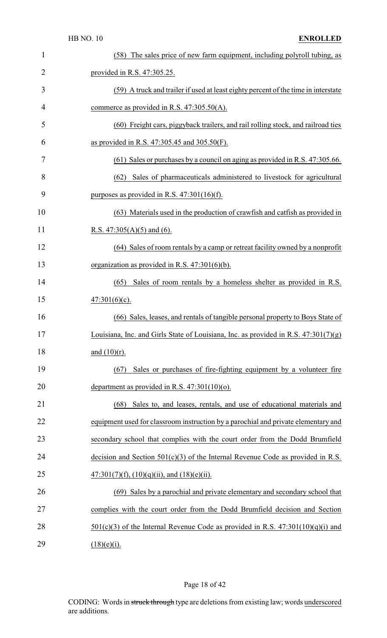| $\mathbf{1}$ | (58) The sales price of new farm equipment, including polyroll tubing, as             |
|--------------|---------------------------------------------------------------------------------------|
| 2            | provided in R.S. 47:305.25.                                                           |
| 3            | (59) A truck and trailer if used at least eighty percent of the time in interstate    |
| 4            | commerce as provided in R.S. $47:305.50(A)$ .                                         |
| 5            | (60) Freight cars, piggyback trailers, and rail rolling stock, and railroad ties      |
| 6            | as provided in R.S. 47:305.45 and 305.50(F).                                          |
| 7            | (61) Sales or purchases by a council on aging as provided in R.S. 47:305.66.          |
| 8            | Sales of pharmaceuticals administered to livestock for agricultural<br>(62)           |
| 9            | purposes as provided in R.S. $47:301(16)(f)$ .                                        |
| 10           | (63) Materials used in the production of crawfish and catfish as provided in          |
| 11           | <u>R.S. 47:305(A)(5) and</u> (6).                                                     |
| 12           | (64) Sales of room rentals by a camp or retreat facility owned by a nonprofit         |
| 13           | organization as provided in R.S. $47:301(6)(b)$ .                                     |
| 14           | Sales of room rentals by a homeless shelter as provided in R.S.<br>(65)               |
| 15           | $47:301(6)(c)$ .                                                                      |
| 16           | (66) Sales, leases, and rentals of tangible personal property to Boys State of        |
| 17           | Louisiana, Inc. and Girls State of Louisiana, Inc. as provided in R.S. $47:301(7)(g)$ |
| 18           | and $(10)(r)$ .                                                                       |
| 19           | Sales or purchases of fire-fighting equipment by a volunteer fire<br>(67)             |
| 20           | department as provided in R.S. $47:301(10)(o)$ .                                      |
| 21           | Sales to, and leases, rentals, and use of educational materials and<br>(68)           |
| 22           | equipment used for classroom instruction by a parochial and private elementary and    |
| 23           | secondary school that complies with the court order from the Dodd Brumfield           |
| 24           | decision and Section $501(c)(3)$ of the Internal Revenue Code as provided in R.S.     |
| 25           | $47:301(7)(f), (10)(q)(ii),$ and $(18)(e)(ii)$ .                                      |
| 26           | (69) Sales by a parochial and private elementary and secondary school that            |
| 27           | complies with the court order from the Dodd Brumfield decision and Section            |
| 28           | $501(c)(3)$ of the Internal Revenue Code as provided in R.S. $47:301(10)(q)(i)$ and   |
| 29           | $(18)(e)(i)$ .                                                                        |

## Page 18 of 42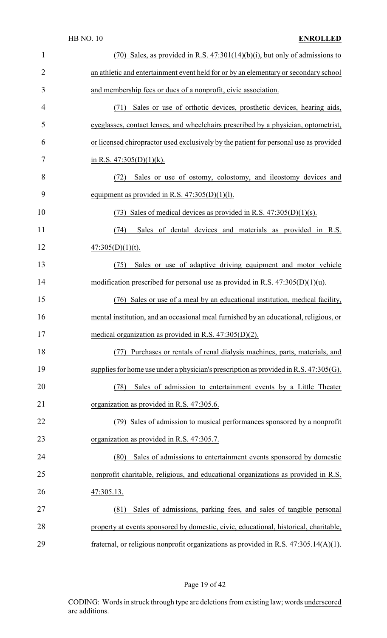|                | <b>HB NO. 10</b><br><b>ENROLLED</b>                                                      |
|----------------|------------------------------------------------------------------------------------------|
| $\mathbf{1}$   | $(70)$ Sales, as provided in R.S. $47:301(14)(b)(i)$ , but only of admissions to         |
| $\overline{2}$ | an athletic and entertainment event held for or by an elementary or secondary school     |
| 3              | and membership fees or dues of a nonprofit, civic association.                           |
| 4              | Sales or use of orthotic devices, prosthetic devices, hearing aids,<br>(71)              |
| 5              | eyeglasses, contact lenses, and wheelchairs prescribed by a physician, optometrist,      |
| 6              | or licensed chiropractor used exclusively by the patient for personal use as provided    |
| 7              | in R.S. $47:305(D)(1)(k)$ .                                                              |
| 8              | Sales or use of ostomy, colostomy, and ileostomy devices and<br>(72)                     |
| 9              | equipment as provided in R.S. $47:305(D)(1)(1)$ .                                        |
| 10             | (73) Sales of medical devices as provided in R.S. $47:305(D)(1)(s)$ .                    |
| 11             | Sales of dental devices and materials as provided in R.S.<br>(74)                        |
| 12             | $47:305(D)(1)(t)$ .                                                                      |
| 13             | Sales or use of adaptive driving equipment and motor vehicle<br>(75)                     |
| 14             | modification prescribed for personal use as provided in R.S. $47:305(D)(1)(u)$ .         |
| 15             | (76) Sales or use of a meal by an educational institution, medical facility,             |
| 16             | mental institution, and an occasional meal furnished by an educational, religious, or    |
| 17             | medical organization as provided in R.S. $47:305(D)(2)$ .                                |
| 18             | Purchases or rentals of renal dialysis machines, parts, materials, and<br>(77)           |
| 19             | supplies for home use under a physician's prescription as provided in R.S. $47:305(G)$ . |
| 20             | Sales of admission to entertainment events by a Little Theater<br>(78)                   |
| 21             | organization as provided in R.S. 47:305.6.                                               |
| 22             | (79) Sales of admission to musical performances sponsored by a nonprofit                 |
| 23             | organization as provided in R.S. 47:305.7.                                               |
| 24             | Sales of admissions to entertainment events sponsored by domestic<br>(80)                |
| 25             | nonprofit charitable, religious, and educational organizations as provided in R.S.       |
| 26             | 47:305.13.                                                                               |
| 27             | Sales of admissions, parking fees, and sales of tangible personal<br>(81)                |
| 28             | property at events sponsored by domestic, civic, educational, historical, charitable,    |
| 29             | fraternal, or religious nonprofit organizations as provided in R.S. $47:305.14(A)(1)$ .  |

# Page 19 of 42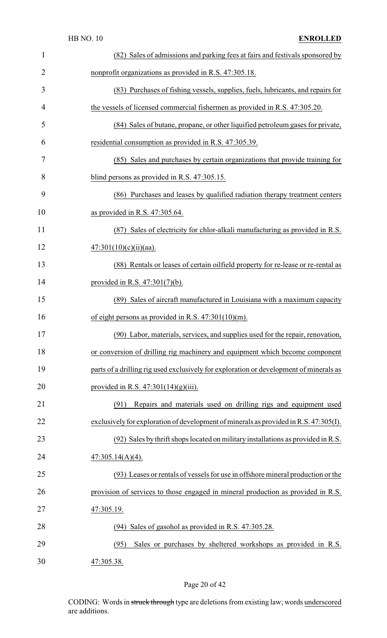|                | <b>HB NO. 10</b><br><b>ENROLLED</b>                                                    |
|----------------|----------------------------------------------------------------------------------------|
| 1              | (82) Sales of admissions and parking fees at fairs and festivals sponsored by          |
| $\overline{2}$ | nonprofit organizations as provided in R.S. 47:305.18.                                 |
| 3              | (83) Purchases of fishing vessels, supplies, fuels, lubricants, and repairs for        |
| 4              | the vessels of licensed commercial fishermen as provided in R.S. 47:305.20.            |
| 5              | (84) Sales of butane, propane, or other liquified petroleum gases for private,         |
| 6              | residential consumption as provided in R.S. 47:305.39.                                 |
| 7              | (85) Sales and purchases by certain organizations that provide training for            |
| 8              | blind persons as provided in R.S. 47:305.15.                                           |
| 9              | (86) Purchases and leases by qualified radiation therapy treatment centers             |
| 10             | as provided in R.S. $47:305.64$ .                                                      |
| 11             | (87) Sales of electricity for chlor-alkali manufacturing as provided in R.S.           |
| 12             | $47:301(10)(c)(ii)(aa)$ .                                                              |
| 13             | (88) Rentals or leases of certain oilfield property for re-lease or re-rental as       |
| 14             | provided in R.S. $47:301(7)(b)$ .                                                      |
| 15             | Sales of aircraft manufactured in Louisiana with a maximum capacity<br>(89)            |
| 16             | of eight persons as provided in R.S. 47:301(10)(m).                                    |
| 17             | (90) Labor, materials, services, and supplies used for the repair, renovation,         |
| 18             | or conversion of drilling rig machinery and equipment which become component           |
| 19             | parts of a drilling rig used exclusively for exploration or development of minerals as |
| 20             | provided in R.S. $47:301(14)(g)(iii)$ .                                                |
| 21             | Repairs and materials used on drilling rigs and equipment used<br>(91)                 |
| 22             | exclusively for exploration of development of minerals as provided in R.S. 47:305(I).  |
| 23             | (92) Sales by thrift shops located on military installations as provided in R.S.       |
| 24             | $47:305.14(A)(4)$ .                                                                    |
| 25             | (93) Leases or rentals of vessels for use in offshore mineral production or the        |
| 26             | provision of services to those engaged in mineral production as provided in R.S.       |
| 27             | 47:305.19.                                                                             |
| 28             | (94) Sales of gasohol as provided in R.S. 47:305.28.                                   |
| 29             | Sales or purchases by sheltered workshops as provided in R.S.<br>(95)                  |
| 30             | 47:305.38.                                                                             |

# Page 20 of 42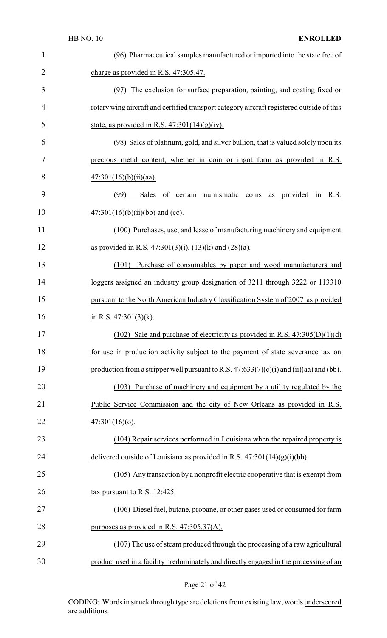| $\mathbf{1}$ | (96) Pharmaceutical samples manufactured or imported into the state free of               |
|--------------|-------------------------------------------------------------------------------------------|
| 2            | charge as provided in R.S. 47:305.47.                                                     |
| 3            | (97) The exclusion for surface preparation, painting, and coating fixed or                |
| 4            | rotary wing aircraft and certified transport category aircraft registered outside of this |
| 5            | state, as provided in R.S. $47:301(14)(g)(iv)$ .                                          |
| 6            | (98) Sales of platinum, gold, and silver bullion, that is valued solely upon its          |
| 7            | precious metal content, whether in coin or ingot form as provided in R.S.                 |
| 8            | $47:301(16)(b)(ii)(aa)$ .                                                                 |
| 9            | (99)<br>of certain numismatic<br>Sales<br>coins<br>provided<br>R.S.<br>in<br>as           |
| 10           | $47:301(16)(b)(ii)(bb)$ and (cc).                                                         |
| 11           | (100) Purchases, use, and lease of manufacturing machinery and equipment                  |
| 12           | as provided in R.S. 47:301(3)(i), (13)(k) and (28)(a).                                    |
| 13           | Purchase of consumables by paper and wood manufacturers and<br>(101)                      |
| 14           | loggers assigned an industry group designation of 3211 through 3222 or 113310             |
| 15           | pursuant to the North American Industry Classification System of 2007 as provided         |
| 16           | in R.S. $47:301(3)(k)$ .                                                                  |
| 17           | (102) Sale and purchase of electricity as provided in R.S. $47:305(D)(1)(d)$              |
| 18           | for use in production activity subject to the payment of state severance tax on           |
| 19           | production from a stripper well pursuant to R.S. $47:633(7)(c)(i)$ and (ii)(aa) and (bb). |
| 20           | (103) Purchase of machinery and equipment by a utility regulated by the                   |
| 21           | Public Service Commission and the city of New Orleans as provided in R.S.                 |
| 22           | $47:301(16)(o)$ .                                                                         |
| 23           | (104) Repair services performed in Louisiana when the repaired property is                |
| 24           | delivered outside of Louisiana as provided in R.S. $47:301(14)(g)(i)(bb)$ .               |
| 25           | (105) Any transaction by a nonprofit electric cooperative that is exempt from             |
| 26           | tax pursuant to R.S. $12:425$ .                                                           |
| 27           | (106) Diesel fuel, butane, propane, or other gases used or consumed for farm              |
| 28           | purposes as provided in R.S. 47:305.37(A).                                                |
|              |                                                                                           |
| 29           | (107) The use of steam produced through the processing of a raw agricultural              |

## Page 21 of 42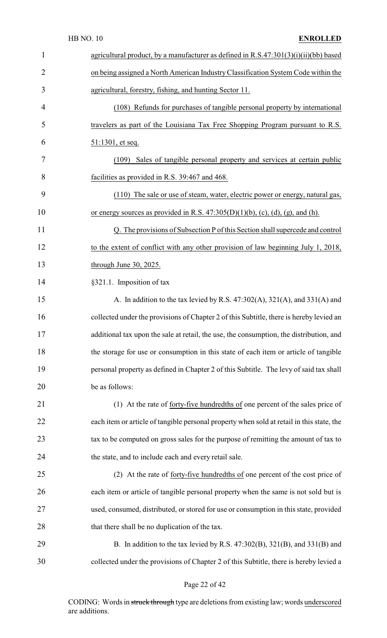|                | <b>HB NO. 10</b><br><b>ENROLLED</b>                                                       |
|----------------|-------------------------------------------------------------------------------------------|
| 1              | agricultural product, by a manufacturer as defined in R.S.47:301(3)(i)(ii)(bb) based      |
| $\overline{2}$ | on being assigned a North American Industry Classification System Code within the         |
| 3              | agricultural, forestry, fishing, and hunting Sector 11.                                   |
| $\overline{4}$ | (108) Refunds for purchases of tangible personal property by international                |
| 5              | travelers as part of the Louisiana Tax Free Shopping Program pursuant to R.S.             |
| 6              | $51:1301$ , et seq.                                                                       |
| 7              | Sales of tangible personal property and services at certain public<br>(109)               |
| 8              | facilities as provided in R.S. 39:467 and 468.                                            |
| 9              | (110) The sale or use of steam, water, electric power or energy, natural gas,             |
| 10             | or energy sources as provided in R.S. $47:305(D)(1)(b)$ , (c), (d), (g), and (h).         |
| 11             | Q. The provisions of Subsection P of this Section shall supercede and control             |
| 12             | to the extent of conflict with any other provision of law beginning July 1, 2018,         |
| 13             | through June 30, 2025.                                                                    |
| 14             | §321.1. Imposition of tax                                                                 |
| 15             | A. In addition to the tax levied by R.S. 47:302(A), 321(A), and 331(A) and                |
| 16             | collected under the provisions of Chapter 2 of this Subtitle, there is hereby levied an   |
| 17             | additional tax upon the sale at retail, the use, the consumption, the distribution, and   |
| 18             | the storage for use or consumption in this state of each item or article of tangible      |
| 19             | personal property as defined in Chapter 2 of this Subtitle. The levy of said tax shall    |
| 20             | be as follows:                                                                            |
| 21             | (1) At the rate of <u>forty-five hundredths of</u> one percent of the sales price of      |
| 22             | each item or article of tangible personal property when sold at retail in this state, the |
| 23             | tax to be computed on gross sales for the purpose of remitting the amount of tax to       |
| 24             | the state, and to include each and every retail sale.                                     |
| 25             | (2) At the rate of forty-five hundredths of one percent of the cost price of              |
| 26             | each item or article of tangible personal property when the same is not sold but is       |
| 27             | used, consumed, distributed, or stored for use or consumption in this state, provided     |
| 28             | that there shall be no duplication of the tax.                                            |
| 29             | B. In addition to the tax levied by R.S. 47:302(B), 321(B), and 331(B) and                |
| 30             | collected under the provisions of Chapter 2 of this Subtitle, there is hereby levied a    |

## Page 22 of 42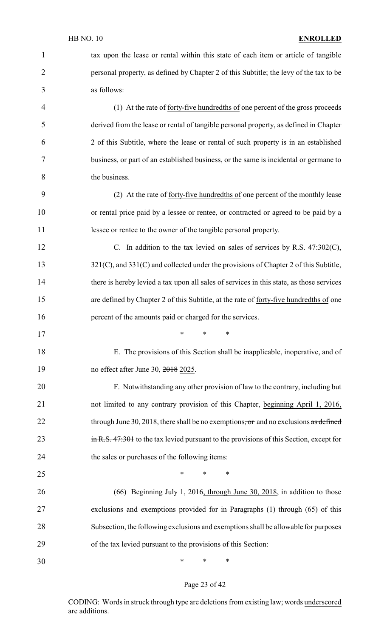#### HB NO. 10 **ENROLLED**

| $\mathbf{1}$         | tax upon the lease or rental within this state of each item or article of tangible       |
|----------------------|------------------------------------------------------------------------------------------|
| $\overline{2}$       | personal property, as defined by Chapter 2 of this Subtitle; the levy of the tax to be   |
| 3                    | as follows:                                                                              |
| 4                    | (1) At the rate of <u>forty-five hundredths of</u> one percent of the gross proceeds     |
| 5                    | derived from the lease or rental of tangible personal property, as defined in Chapter    |
| 6                    | 2 of this Subtitle, where the lease or rental of such property is in an established      |
| 7                    | business, or part of an established business, or the same is incidental or germane to    |
| 8                    | the business.                                                                            |
| 9                    | (2) At the rate of forty-five hundredths of one percent of the monthly lease             |
| 10                   | or rental price paid by a lessee or rentee, or contracted or agreed to be paid by a      |
| 11                   | lessee or rentee to the owner of the tangible personal property.                         |
| 12                   | C. In addition to the tax levied on sales of services by R.S. $47:302(C)$ ,              |
| 13                   | 321(C), and 331(C) and collected under the provisions of Chapter 2 of this Subtitle,     |
| 14                   | there is hereby levied a tax upon all sales of services in this state, as those services |
| 15                   | are defined by Chapter 2 of this Subtitle, at the rate of forty-five hundredths of one   |
| 16                   | percent of the amounts paid or charged for the services.                                 |
| 17                   | $\ast$                                                                                   |
| 18                   | E. The provisions of this Section shall be inapplicable, inoperative, and of             |
| 19                   | no effect after June 30, 2018 2025.                                                      |
| 20                   | F. Notwithstanding any other provision of law to the contrary, including but             |
| 21                   | not limited to any contrary provision of this Chapter, beginning April 1, 2016,          |
| 22                   | through June 30, 2018, there shall be no exemptions, or and no exclusions as defined     |
| 23                   | in R.S. 47:301 to the tax levied pursuant to the provisions of this Section, except for  |
| 24                   |                                                                                          |
|                      | the sales or purchases of the following items:                                           |
|                      | $\ast$<br>*<br>∗                                                                         |
|                      | (66) Beginning July 1, 2016, through June 30, 2018, in addition to those                 |
|                      | exclusions and exemptions provided for in Paragraphs (1) through (65) of this            |
| 25<br>26<br>27<br>28 | Subsection, the following exclusions and exemptions shall be allowable for purposes      |
| 29                   | of the tax levied pursuant to the provisions of this Section:                            |

## Page 23 of 42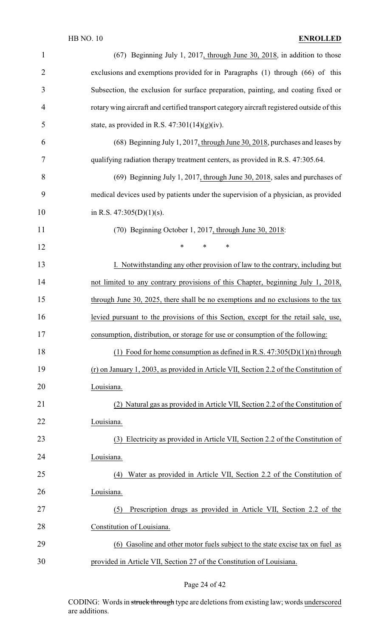| $\mathbf{1}$   | (67) Beginning July 1, 2017, through June 30, 2018, in addition to those                  |
|----------------|-------------------------------------------------------------------------------------------|
| $\overline{2}$ | exclusions and exemptions provided for in Paragraphs (1) through (66) of this             |
| 3              | Subsection, the exclusion for surface preparation, painting, and coating fixed or         |
| 4              | rotary wing aircraft and certified transport category aircraft registered outside of this |
| 5              | state, as provided in R.S. $47:301(14)(g)(iv)$ .                                          |
| 6              | (68) Beginning July 1, 2017, through June 30, 2018, purchases and leases by               |
| 7              | qualifying radiation therapy treatment centers, as provided in R.S. 47:305.64.            |
| 8              | (69) Beginning July 1, 2017, through June 30, 2018, sales and purchases of                |
| 9              | medical devices used by patients under the supervision of a physician, as provided        |
| 10             | in R.S. $47:305(D)(1)(s)$ .                                                               |
| 11             | (70) Beginning October 1, 2017, through June 30, 2018:                                    |
| 12             | *<br>$\ast$<br>∗                                                                          |
| 13             | I. Notwithstanding any other provision of law to the contrary, including but              |
| 14             | not limited to any contrary provisions of this Chapter, beginning July 1, 2018,           |
| 15             | through June 30, 2025, there shall be no exemptions and no exclusions to the tax          |
| 16             | levied pursuant to the provisions of this Section, except for the retail sale, use,       |
| 17             | consumption, distribution, or storage for use or consumption of the following:            |
| 18             | (1) Food for home consumption as defined in R.S. $47:305(D)(1)(n)$ through                |
| 19             | (r) on January 1, 2003, as provided in Article VII, Section 2.2 of the Constitution of    |
| 20             | Louisiana.                                                                                |
| 21             | (2) Natural gas as provided in Article VII, Section 2.2 of the Constitution of            |
| 22             | Louisiana.                                                                                |
| 23             | (3) Electricity as provided in Article VII, Section 2.2 of the Constitution of            |
| 24             | Louisiana.                                                                                |
| 25             | Water as provided in Article VII, Section 2.2 of the Constitution of<br>(4)               |
| 26             | Louisiana.                                                                                |
| 27             | Prescription drugs as provided in Article VII, Section 2.2 of the<br>(5)                  |
| 28             | Constitution of Louisiana.                                                                |
| 29             | (6) Gasoline and other motor fuels subject to the state excise tax on fuel as             |
| 30             | provided in Article VII, Section 27 of the Constitution of Louisiana.                     |

Page 24 of 42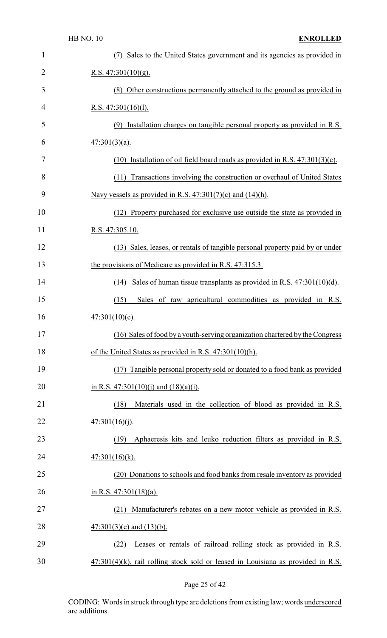|                | <b>HB NO. 10</b><br><b>ENROLLED</b>                                                 |
|----------------|-------------------------------------------------------------------------------------|
| 1              | Sales to the United States government and its agencies as provided in               |
| $\overline{2}$ | R.S. $47:301(10)(g)$ .                                                              |
| 3              | (8) Other constructions permanently attached to the ground as provided in           |
| 4              | R.S. $47:301(16)(1)$ .                                                              |
| 5              | (9) Installation charges on tangible personal property as provided in R.S.          |
| 6              | $\frac{47:301(3)(a)}{2}$                                                            |
| 7              | $(10)$ Installation of oil field board roads as provided in R.S. 47:301(3)(c).      |
| 8              | Transactions involving the construction or overhaul of United States<br>(11)        |
| 9              | Navy vessels as provided in R.S. $47:301(7)(c)$ and $(14)(h)$ .                     |
| 10             | (12) Property purchased for exclusive use outside the state as provided in          |
| 11             | R.S. 47:305.10.                                                                     |
| 12             | (13) Sales, leases, or rentals of tangible personal property paid by or under       |
| 13             | the provisions of Medicare as provided in R.S. 47:315.3.                            |
| 14             | Sales of human tissue transplants as provided in R.S. $47:301(10)(d)$ .<br>(14)     |
| 15             | Sales of raw agricultural commodities as provided in R.S.<br>(15)                   |
| 16             | $47:301(10)(e)$ .                                                                   |
| 17             | (16) Sales of food by a youth-serving organization chartered by the Congress        |
| 18             | of the United States as provided in R.S. 47:301(10)(h).                             |
| 19             | (17) Tangible personal property sold or donated to a food bank as provided          |
| 20             | in R.S. 47:301(10)(j) and (18)(a)(i).                                               |
| 21             | Materials used in the collection of blood as provided in R.S.<br>(18)               |
| 22             | 47:301(16)(j).                                                                      |
| 23             | Aphaeresis kits and leuko reduction filters as provided in R.S.<br>(19)             |
| 24             | $47:301(16)(k)$ .                                                                   |
| 25             | (20) Donations to schools and food banks from resale inventory as provided          |
| 26             | in R.S. $47:301(18)(a)$ .                                                           |
| 27             | Manufacturer's rebates on a new motor vehicle as provided in R.S.<br>(21)           |
| 28             | $\frac{47:301(3)(e)}{40}$ and $\frac{(13)(b)}{20}$ .                                |
| 29             | Leases or rentals of railroad rolling stock as provided in R.S.<br>(22)             |
| 30             | $47:301(4)$ (k), rail rolling stock sold or leased in Louisiana as provided in R.S. |

Page 25 of 42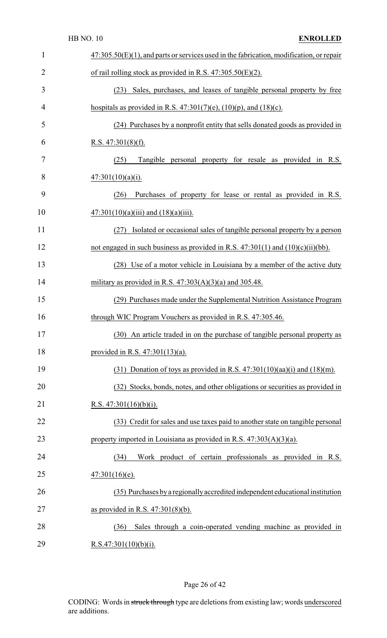|                | <b>HB NO. 10</b><br><b>ENROLLED</b>                                                        |
|----------------|--------------------------------------------------------------------------------------------|
| $\mathbf{1}$   | $47:305.50(E)(1)$ , and parts or services used in the fabrication, modification, or repair |
| $\overline{2}$ | of rail rolling stock as provided in R.S. $47:305.50(E)(2)$ .                              |
| 3              | (23) Sales, purchases, and leases of tangible personal property by free                    |
| 4              | hospitals as provided in R.S. $47:301(7)(e)$ , $(10)(p)$ , and $(18)(c)$ .                 |
| 5              | (24) Purchases by a nonprofit entity that sells donated goods as provided in               |
| 6              | <u>R.S. 47:301(8)(f).</u>                                                                  |
| 7              | Tangible personal property for resale as provided in R.S.<br>(25)                          |
| 8              | $47:301(10)(a)(i)$ .                                                                       |
| 9              | Purchases of property for lease or rental as provided in R.S.<br>(26)                      |
| 10             | $47:301(10)(a)(iii)$ and $(18)(a)(iii)$ .                                                  |
| 11             | Isolated or occasional sales of tangible personal property by a person<br>(27)             |
| 12             | not engaged in such business as provided in R.S. $47:301(1)$ and $(10)(c)(ii)(bb)$ .       |
| 13             | (28) Use of a motor vehicle in Louisiana by a member of the active duty                    |
| 14             | military as provided in R.S. $47:303(A)(3)(a)$ and 305.48.                                 |
| 15             | (29) Purchases made under the Supplemental Nutrition Assistance Program                    |
| 16             | through WIC Program Vouchers as provided in R.S. 47:305.46.                                |
| 17             | (30) An article traded in on the purchase of tangible personal property as                 |
| 18             | provided in R.S. $47:301(13)(a)$ .                                                         |
| 19             | $(31)$ Donation of toys as provided in R.S. 47:301(10)(aa)(i) and (18)(m).                 |
| 20             | (32) Stocks, bonds, notes, and other obligations or securities as provided in              |
| 21             | <u>R.S. 47:301(16)(b)(i).</u>                                                              |
| 22             | (33) Credit for sales and use taxes paid to another state on tangible personal             |
| 23             | property imported in Louisiana as provided in R.S. $47:303(A)(3)(a)$ .                     |
| 24             | Work product of certain professionals as provided in R.S.<br>(34)                          |
| 25             | $47:301(16)(e)$ .                                                                          |
| 26             | (35) Purchases by a regionally accredited independent educational institution              |
| 27             | as provided in R.S. $47:301(8)(b)$ .                                                       |
| 28             | Sales through a coin-operated vending machine as provided in<br>(36)                       |
| 29             | R.S.47:301(10)(b)(i).                                                                      |

## Page 26 of 42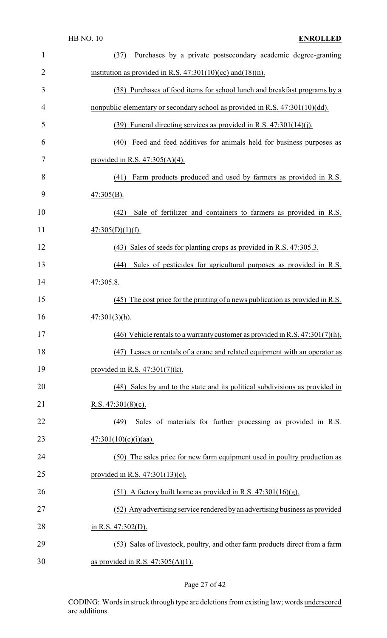| $\mathbf{1}$   | Purchases by a private postsecondary academic degree-granting<br>(37)            |
|----------------|----------------------------------------------------------------------------------|
| $\overline{2}$ | institution as provided in R.S. $47:301(10)(cc)$ and $(18)(n)$ .                 |
| 3              | (38) Purchases of food items for school lunch and breakfast programs by a        |
| 4              | nonpublic elementary or secondary school as provided in R.S. 47:301(10)(dd).     |
| 5              | $(39)$ Funeral directing services as provided in R.S. $47:301(14)(i)$ .          |
| 6              | (40) Feed and feed additives for animals held for business purposes as           |
| 7              | provided in R.S. $47:305(A)(4)$ .                                                |
| 8              | Farm products produced and used by farmers as provided in R.S.<br>(41)           |
| 9              | $47:305(B)$ .                                                                    |
| 10             | Sale of fertilizer and containers to farmers as provided in R.S.<br>(42)         |
| 11             | $47:305(D)(1)(f)$ .                                                              |
| 12             | Sales of seeds for planting crops as provided in R.S. 47:305.3.<br>(43)          |
| 13             | Sales of pesticides for agricultural purposes as provided in R.S.<br>(44)        |
| 14             | 47:305.8.                                                                        |
| 15             | $(45)$ The cost price for the printing of a news publication as provided in R.S. |
| 16             | $47:301(3)$ (h).                                                                 |
| 17             | (46) Vehicle rentals to a warranty customer as provided in R.S. $47:301(7)(h)$ . |
| 18             | (47) Leases or rentals of a crane and related equipment with an operator as      |
| 19             | provided in R.S. $47:301(7)(k)$ .                                                |
| 20             | (48) Sales by and to the state and its political subdivisions as provided in     |
| 21             | R.S. $47:301(8)$ (c).                                                            |
| 22             | Sales of materials for further processing as provided in R.S.<br>(49)            |
| 23             | $47:301(10)(c)(i)(aa)$ .                                                         |
| 24             | (50) The sales price for new farm equipment used in poultry production as        |
| 25             | provided in R.S. $47:301(13)(c)$ .                                               |
| 26             | $(51)$ A factory built home as provided in R.S. 47:301(16)(g).                   |
| 27             | (52) Any advertising service rendered by an advertising business as provided     |
| 28             | in R.S. $47:302(D)$ .                                                            |
| 29             | (53) Sales of livestock, poultry, and other farm products direct from a farm     |
| 30             | as provided in R.S. $47:305(A)(1)$ .                                             |

## Page 27 of 42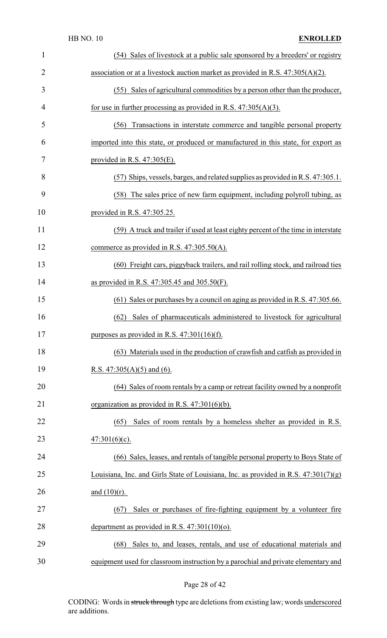| 1              | (54) Sales of livestock at a public sale sponsored by a breeders' or registry         |
|----------------|---------------------------------------------------------------------------------------|
| $\overline{2}$ | association or at a livestock auction market as provided in R.S. $47:305(A)(2)$ .     |
| 3              | (55) Sales of agricultural commodities by a person other than the producer,           |
| 4              | for use in further processing as provided in R.S. $47:305(A)(3)$ .                    |
| 5              | Transactions in interstate commerce and tangible personal property<br>(56)            |
| 6              | imported into this state, or produced or manufactured in this state, for export as    |
| 7              | provided in R.S. $47:305(E)$ .                                                        |
| 8              | (57) Ships, vessels, barges, and related supplies as provided in R.S. 47:305.1.       |
| 9              | (58) The sales price of new farm equipment, including polyroll tubing, as             |
| 10             | provided in R.S. 47:305.25.                                                           |
| 11             | (59) A truck and trailer if used at least eighty percent of the time in interstate    |
| 12             | commerce as provided in R.S. $47:305.50(A)$ .                                         |
| 13             | (60) Freight cars, piggyback trailers, and rail rolling stock, and railroad ties      |
| 14             | as provided in R.S. $47:305.45$ and $305.50(F)$ .                                     |
| 15             | (61) Sales or purchases by a council on aging as provided in R.S. 47:305.66.          |
| 16             | Sales of pharmaceuticals administered to livestock for agricultural<br>(62)           |
| 17             | purposes as provided in R.S. $47:301(16)(f)$ .                                        |
| 18             | (63) Materials used in the production of crawfish and catfish as provided in          |
| 19             | R.S. $47:305(A)(5)$ and (6).                                                          |
| 20             | (64) Sales of room rentals by a camp or retreat facility owned by a nonprofit         |
| 21             | organization as provided in R.S. $47:301(6)(b)$ .                                     |
| 22             | (65) Sales of room rentals by a homeless shelter as provided in R.S.                  |
| 23             | $47:301(6)(c)$ .                                                                      |
| 24             | (66) Sales, leases, and rentals of tangible personal property to Boys State of        |
| 25             | Louisiana, Inc. and Girls State of Louisiana, Inc. as provided in R.S. $47:301(7)(g)$ |
| 26             | and $(10)(r)$ .                                                                       |
| 27             | Sales or purchases of fire-fighting equipment by a volunteer fire<br>(67)             |
| 28             | department as provided in R.S. $47:301(10)(0)$ .                                      |
| 29             | Sales to, and leases, rentals, and use of educational materials and<br>(68)           |
| 30             | equipment used for classroom instruction by a parochial and private elementary and    |

Page 28 of 42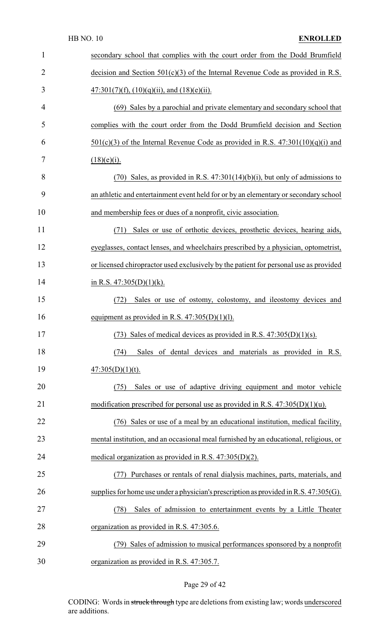| $\mathbf{1}$ | secondary school that complies with the court order from the Dodd Brumfield              |
|--------------|------------------------------------------------------------------------------------------|
| 2            | decision and Section $501(c)(3)$ of the Internal Revenue Code as provided in R.S.        |
| 3            | $47:301(7)(f), (10)(q)(ii),$ and $(18)(e)(ii)$ .                                         |
| 4            | (69) Sales by a parochial and private elementary and secondary school that               |
| 5            | complies with the court order from the Dodd Brumfield decision and Section               |
| 6            | $501(c)(3)$ of the Internal Revenue Code as provided in R.S. $47:301(10)(q)(i)$ and      |
| 7            | $(18)(e)(i)$ .                                                                           |
| 8            | $(70)$ Sales, as provided in R.S. $47:301(14)(b)(i)$ , but only of admissions to         |
| 9            | an athletic and entertainment event held for or by an elementary or secondary school     |
| 10           | and membership fees or dues of a nonprofit, civic association.                           |
| 11           | Sales or use of orthotic devices, prosthetic devices, hearing aids,<br>(71)              |
| 12           | eyeglasses, contact lenses, and wheelchairs prescribed by a physician, optometrist,      |
| 13           | or licensed chiropractor used exclusively by the patient for personal use as provided    |
| 14           | in R.S. $47:305(D)(1)(k)$ .                                                              |
| 15           | Sales or use of ostomy, colostomy, and ileostomy devices and<br>(72)                     |
| 16           | equipment as provided in R.S. $47:305(D)(1)(1)$ .                                        |
| 17           | Sales of medical devices as provided in R.S. $47:305(D)(1)(s)$ .<br>(73)                 |
| 18           | Sales of dental devices and materials as provided in R.S.<br>(74)                        |
| 19           | $47:305(D)(1)(t)$ .                                                                      |
| 20           | Sales or use of adaptive driving equipment and motor vehicle<br>(75)                     |
| 21           |                                                                                          |
|              | modification prescribed for personal use as provided in R.S. $47:305(D)(1)(u)$ .         |
| 22           | (76) Sales or use of a meal by an educational institution, medical facility,             |
| 23           | mental institution, and an occasional meal furnished by an educational, religious, or    |
| 24           | medical organization as provided in R.S. $47:305(D)(2)$ .                                |
| 25           | Purchases or rentals of renal dialysis machines, parts, materials, and                   |
| 26           | supplies for home use under a physician's prescription as provided in R.S. $47:305(G)$ . |
| 27           | Sales of admission to entertainment events by a Little Theater<br>(78)                   |
| 28           | organization as provided in R.S. 47:305.6.                                               |
| 29           | (79) Sales of admission to musical performances sponsored by a nonprofit                 |

## Page 29 of 42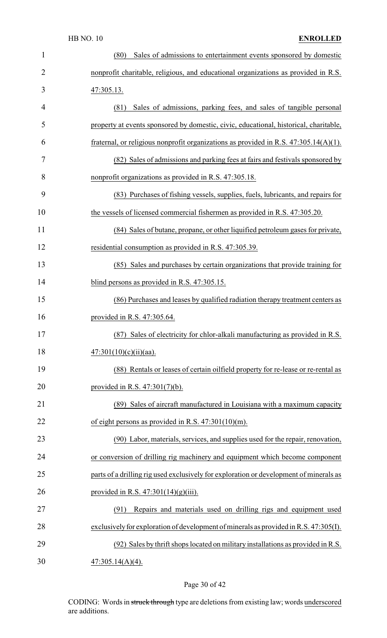| $\mathbf{1}$   | Sales of admissions to entertainment events sponsored by domestic<br>(80)               |
|----------------|-----------------------------------------------------------------------------------------|
| $\overline{2}$ | nonprofit charitable, religious, and educational organizations as provided in R.S.      |
| 3              | 47:305.13.                                                                              |
| 4              | Sales of admissions, parking fees, and sales of tangible personal<br>(81)               |
| 5              | property at events sponsored by domestic, civic, educational, historical, charitable,   |
| 6              | fraternal, or religious nonprofit organizations as provided in R.S. $47:305.14(A)(1)$ . |
| 7              | (82) Sales of admissions and parking fees at fairs and festivals sponsored by           |
| 8              | nonprofit organizations as provided in R.S. 47:305.18.                                  |
| 9              | (83) Purchases of fishing vessels, supplies, fuels, lubricants, and repairs for         |
| 10             | the vessels of licensed commercial fishermen as provided in R.S. 47:305.20.             |
| 11             | (84) Sales of butane, propane, or other liquified petroleum gases for private,          |
| 12             | residential consumption as provided in R.S. 47:305.39.                                  |
| 13             | (85) Sales and purchases by certain organizations that provide training for             |
| 14             | blind persons as provided in R.S. 47:305.15.                                            |
| 15             | (86) Purchases and leases by qualified radiation therapy treatment centers as           |
|                |                                                                                         |
| 16             | provided in R.S. 47:305.64.                                                             |
| 17             | (87) Sales of electricity for chlor-alkali manufacturing as provided in R.S.            |
| 18             | $47:301(10)(c)(ii)(aa)$ .                                                               |
| 19             | (88) Rentals or leases of certain oilfield property for re-lease or re-rental as        |
| 20             | provided in R.S. $47:301(7)(b)$ .                                                       |
| 21             | (89) Sales of aircraft manufactured in Louisiana with a maximum capacity                |
| 22             | of eight persons as provided in R.S. $47:301(10)(m)$ .                                  |
| 23             | (90) Labor, materials, services, and supplies used for the repair, renovation,          |
| 24             | or conversion of drilling rig machinery and equipment which become component            |
| 25             | parts of a drilling rig used exclusively for exploration or development of minerals as  |
| 26             | provided in R.S. $47:301(14)(g)(iii)$ .                                                 |
| 27             | Repairs and materials used on drilling rigs and equipment used<br>(91)                  |
| 28             | exclusively for exploration of development of minerals as provided in R.S. 47:305(I).   |
| 29             | (92) Sales by thrift shops located on military installations as provided in R.S.        |

## Page 30 of 42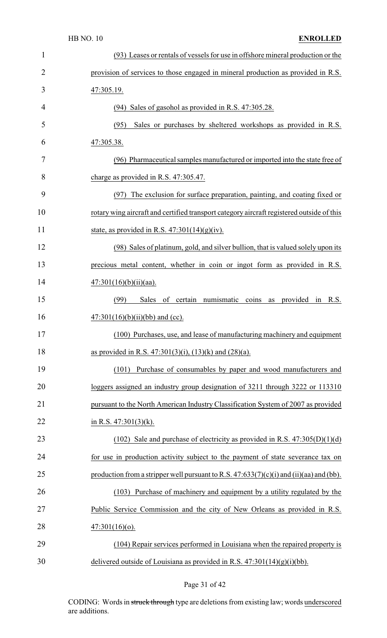| $\mathbf{1}$   | (93) Leases or rentals of vessels for use in offshore mineral production or the           |
|----------------|-------------------------------------------------------------------------------------------|
| $\overline{2}$ | provision of services to those engaged in mineral production as provided in R.S.          |
| 3              | 47:305.19.                                                                                |
| 4              | (94) Sales of gasohol as provided in R.S. 47:305.28.                                      |
| 5              | (95)<br>Sales or purchases by sheltered workshops as provided in R.S.                     |
| 6              | 47:305.38.                                                                                |
| 7              | (96) Pharmaceutical samples manufactured or imported into the state free of               |
| 8              | charge as provided in R.S. 47:305.47.                                                     |
| 9              | (97) The exclusion for surface preparation, painting, and coating fixed or                |
| 10             | rotary wing aircraft and certified transport category aircraft registered outside of this |
| 11             | state, as provided in R.S. $47:301(14)(g)(iv)$ .                                          |
| 12             | (98) Sales of platinum, gold, and silver bullion, that is valued solely upon its          |
| 13             | precious metal content, whether in coin or ingot form as provided in R.S.                 |
| 14             | $47:301(16)(b)(ii)(aa)$ .                                                                 |
| 15             | of certain numismatic coins as provided in<br>(99)<br>Sales<br>R.S.                       |
| 16             | $47:301(16)(b)(ii)(bb)$ and (cc).                                                         |
| 17             | (100) Purchases, use, and lease of manufacturing machinery and equipment                  |
| 18             | as provided in R.S. 47:301(3)(i), (13)(k) and (28)(a).                                    |
| 19             | Purchase of consumables by paper and wood manufacturers and<br>(101)                      |
| 20             | loggers assigned an industry group designation of 3211 through 3222 or 113310             |
| 21             | pursuant to the North American Industry Classification System of 2007 as provided         |
| 22             | in R.S. $47:301(3)(k)$ .                                                                  |
| 23             | (102) Sale and purchase of electricity as provided in R.S. $47:305(D)(1)(d)$              |
| 24             | for use in production activity subject to the payment of state severance tax on           |
| 25             | production from a stripper well pursuant to R.S. $47:633(7)(c)(i)$ and (ii)(aa) and (bb). |
| 26             | (103) Purchase of machinery and equipment by a utility regulated by the                   |
| 27             | Public Service Commission and the city of New Orleans as provided in R.S.                 |
| 28             | $47:301(16)(o)$ .                                                                         |
| 29             | (104) Repair services performed in Louisiana when the repaired property is                |
| 30             | delivered outside of Louisiana as provided in R.S. $47:301(14)(g)(i)(bb)$ .               |

## Page 31 of 42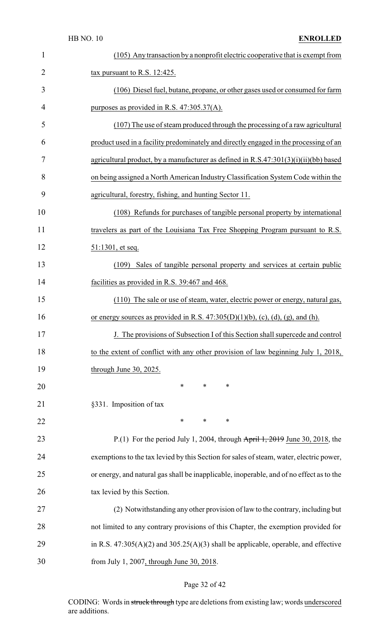| $\mathbf{1}$   | (105) Any transaction by a nonprofit electric cooperative that is exempt from                        |
|----------------|------------------------------------------------------------------------------------------------------|
| $\overline{2}$ | tax pursuant to R.S. 12:425.                                                                         |
| 3              | (106) Diesel fuel, butane, propane, or other gases used or consumed for farm                         |
| 4              | purposes as provided in R.S. $47:305.37(A)$ .                                                        |
| 5              | (107) The use of steam produced through the processing of a raw agricultural                         |
| 6              | product used in a facility predominately and directly engaged in the processing of an                |
| 7              | agricultural product, by a manufacturer as defined in $R.S.47:301(3)(i)(ii)(bb)$ based               |
| 8              | on being assigned a North American Industry Classification System Code within the                    |
| 9              | agricultural, forestry, fishing, and hunting Sector 11.                                              |
| 10             | (108) Refunds for purchases of tangible personal property by international                           |
| 11             | travelers as part of the Louisiana Tax Free Shopping Program pursuant to R.S.                        |
| 12             | 51:1301, et seq.                                                                                     |
| 13             | Sales of tangible personal property and services at certain public<br>(109)                          |
| 14             | facilities as provided in R.S. 39:467 and 468.                                                       |
| 15             | (110) The sale or use of steam, water, electric power or energy, natural gas,                        |
| 16             | or energy sources as provided in R.S. $47:305(D)(1)(b)$ , (c), (d), (g), and (h).                    |
| 17             | J. The provisions of Subsection I of this Section shall supercede and control                        |
| 18             | to the extent of conflict with any other provision of law beginning July 1, 2018,                    |
| 19             | through June 30, 2025.                                                                               |
| 20             | ∗<br>∗<br>∗                                                                                          |
| 21             | §331. Imposition of tax                                                                              |
| 22             | $\ast$<br>$\ast$<br>∗                                                                                |
| 23             | P.(1) For the period July 1, 2004, through $\frac{\text{April }1, 2019}{\text{June }30, 2018}$ , the |
| 24             | exemptions to the tax levied by this Section for sales of steam, water, electric power,              |
| 25             | or energy, and natural gas shall be inapplicable, inoperable, and of no effect as to the             |
| 26             | tax levied by this Section.                                                                          |
| 27             | (2) Notwithstanding any other provision of law to the contrary, including but                        |
| 28             | not limited to any contrary provisions of this Chapter, the exemption provided for                   |
| 29             | in R.S. $47:305(A)(2)$ and $305.25(A)(3)$ shall be applicable, operable, and effective               |
| 30             | from July 1, 2007, through June 30, 2018.                                                            |

## Page 32 of 42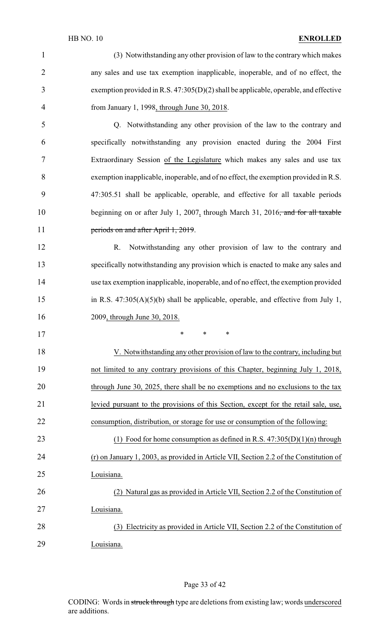| $\mathbf{1}$   | (3) Notwithstanding any other provision of law to the contrary which makes                  |
|----------------|---------------------------------------------------------------------------------------------|
| $\overline{2}$ | any sales and use tax exemption inapplicable, inoperable, and of no effect, the             |
| 3              | exemption provided in R.S. $47:305(D)(2)$ shall be applicable, operable, and effective      |
| 4              | from January 1, 1998, through June 30, 2018.                                                |
| 5              | Q. Notwithstanding any other provision of the law to the contrary and                       |
| 6              | specifically notwithstanding any provision enacted during the 2004 First                    |
| 7              | Extraordinary Session of the Legislature which makes any sales and use tax                  |
| 8              | exemption inapplicable, inoperable, and of no effect, the exemption provided in R.S.        |
| 9              | 47:305.51 shall be applicable, operable, and effective for all taxable periods              |
| 10             | beginning on or after July 1, 2007, through March 31, 2016 <del>, and for all taxable</del> |
| 11             | periods on and after April 1, 2019.                                                         |
| 12             | Notwithstanding any other provision of law to the contrary and<br>R.                        |
| 13             | specifically notwithstanding any provision which is enacted to make any sales and           |
| 14             | use tax exemption inapplicable, inoperable, and of no effect, the exemption provided        |
| 15             | in R.S. $47:305(A)(5)(b)$ shall be applicable, operable, and effective from July 1,         |
| 16             | 2009, through June 30, 2018.                                                                |
| 17             |                                                                                             |
| 18             | V. Notwithstanding any other provision of law to the contrary, including but                |
| 19             | not limited to any contrary provisions of this Chapter, beginning July 1, 2018,             |
| 20             | through June 30, 2025, there shall be no exemptions and no exclusions to the tax            |
| 21             | levied pursuant to the provisions of this Section, except for the retail sale, use,         |
| 22             | consumption, distribution, or storage for use or consumption of the following:              |
| 23             | (1) Food for home consumption as defined in R.S. $47:305(D)(1)(n)$ through                  |
| 24             | (r) on January 1, 2003, as provided in Article VII, Section 2.2 of the Constitution of      |
| 25             | Louisiana.                                                                                  |
| 26             | (2) Natural gas as provided in Article VII, Section 2.2 of the Constitution of              |
| 27             | Louisiana.                                                                                  |
| 28             | (3) Electricity as provided in Article VII, Section 2.2 of the Constitution of              |
| 29             | Louisiana.                                                                                  |

Page 33 of 42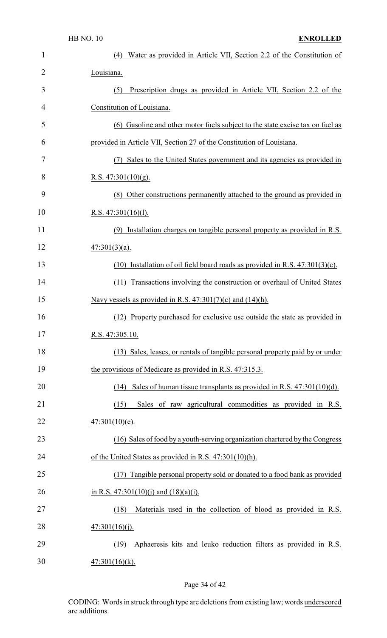| 1              | Water as provided in Article VII, Section 2.2 of the Constitution of<br>(4)     |
|----------------|---------------------------------------------------------------------------------|
| $\overline{2}$ | Louisiana.                                                                      |
| 3              | Prescription drugs as provided in Article VII, Section 2.2 of the<br>(5)        |
| 4              | Constitution of Louisiana.                                                      |
| 5              | (6) Gasoline and other motor fuels subject to the state excise tax on fuel as   |
| 6              | provided in Article VII, Section 27 of the Constitution of Louisiana.           |
| 7              | (7) Sales to the United States government and its agencies as provided in       |
| 8              | R.S. $47:301(10)(g)$ .                                                          |
| 9              | (8) Other constructions permanently attached to the ground as provided in       |
| 10             | R.S. $47:301(16)(1)$ .                                                          |
| 11             | (9) Installation charges on tangible personal property as provided in R.S.      |
| 12             | $47:301(3)(a)$ .                                                                |
| 13             | $(10)$ Installation of oil field board roads as provided in R.S. 47:301(3)(c).  |
| 14             | Transactions involving the construction or overhaul of United States<br>(11)    |
| 15             | Navy vessels as provided in R.S. $47:301(7)(c)$ and $(14)(h)$ .                 |
| 16             | (12) Property purchased for exclusive use outside the state as provided in      |
| 17             | R.S. 47:305.10.                                                                 |
| 18             | (13) Sales, leases, or rentals of tangible personal property paid by or under   |
| 19             | the provisions of Medicare as provided in R.S. 47:315.3.                        |
| 20             | Sales of human tissue transplants as provided in R.S. $47:301(10)(d)$ .<br>(14) |
| 21             | Sales of raw agricultural commodities as provided in R.S.<br>(15)               |
| 22             | $47:301(10)(e)$ .                                                               |
| 23             | (16) Sales of food by a youth-serving organization chartered by the Congress    |
| 24             | of the United States as provided in R.S. $47:301(10)(h)$ .                      |
| 25             | (17) Tangible personal property sold or donated to a food bank as provided      |
| 26             | in R.S. 47:301(10)(j) and (18)(a)(i).                                           |
| 27             | (18)<br>Materials used in the collection of blood as provided in R.S.           |
| 28             | 47:301(16)(j).                                                                  |
| 29             | Aphaeresis kits and leuko reduction filters as provided in R.S.<br>(19)         |
| 30             | $47:301(16)(k)$ .                                                               |

## Page 34 of 42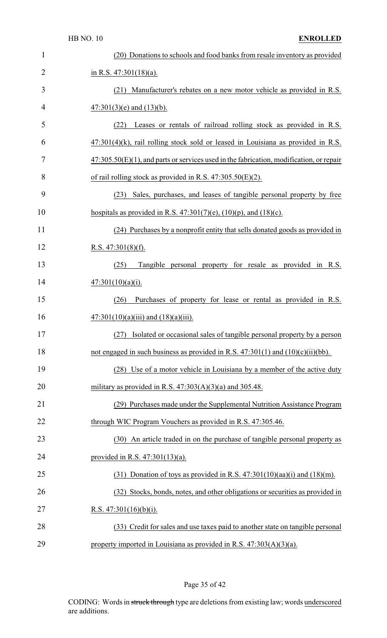| $\mathbf{1}$   | (20) Donations to schools and food banks from resale inventory as provided                 |
|----------------|--------------------------------------------------------------------------------------------|
| $\overline{2}$ | in R.S. $47:301(18)(a)$ .                                                                  |
| 3              | (21) Manufacturer's rebates on a new motor vehicle as provided in R.S.                     |
| 4              | $\frac{47:301(3)(e)}{40}$ and $\frac{(13)(b)}{20}$ .                                       |
| 5              | Leases or rentals of railroad rolling stock as provided in R.S.<br>(22)                    |
| 6              | $47:301(4)$ (k), rail rolling stock sold or leased in Louisiana as provided in R.S.        |
| 7              | $47:305.50(E)(1)$ , and parts or services used in the fabrication, modification, or repair |
| 8              | of rail rolling stock as provided in R.S. $47:305.50(E)(2)$ .                              |
| 9              | Sales, purchases, and leases of tangible personal property by free<br>(23)                 |
| 10             | hospitals as provided in R.S. $47:301(7)(e)$ , $(10)(p)$ , and $(18)(c)$ .                 |
| 11             | (24) Purchases by a nonprofit entity that sells donated goods as provided in               |
| 12             | R.S. $47:301(8)(f)$ .                                                                      |
| 13             | Tangible personal property for resale as provided in R.S.<br>(25)                          |
| 14             | $47:301(10)(a)(i)$ .                                                                       |
| 15             | Purchases of property for lease or rental as provided in R.S.<br>(26)                      |
| 16             | $47:301(10)(a)(iii)$ and $(18)(a)(iii)$ .                                                  |
| 17             | (27)<br>Isolated or occasional sales of tangible personal property by a person             |
| 18             | not engaged in such business as provided in R.S. $47:301(1)$ and $(10)(c)(ii)(bb)$ .       |
| 19             | (28) Use of a motor vehicle in Louisiana by a member of the active duty                    |
| 20             | military as provided in R.S. $47:303(A)(3)(a)$ and 305.48.                                 |
| 21             | (29) Purchases made under the Supplemental Nutrition Assistance Program                    |
| 22             | through WIC Program Vouchers as provided in R.S. 47:305.46.                                |
| 23             | (30) An article traded in on the purchase of tangible personal property as                 |
| 24             | provided in R.S. $47:301(13)(a)$ .                                                         |
| 25             | $(31)$ Donation of toys as provided in R.S. 47:301(10)(aa)(i) and (18)(m).                 |
| 26             | (32) Stocks, bonds, notes, and other obligations or securities as provided in              |
| 27             | R.S. $47:301(16)(b)(i)$ .                                                                  |
| 28             | (33) Credit for sales and use taxes paid to another state on tangible personal             |
| 29             | property imported in Louisiana as provided in R.S. $47:303(A)(3)(a)$ .                     |

Page 35 of 42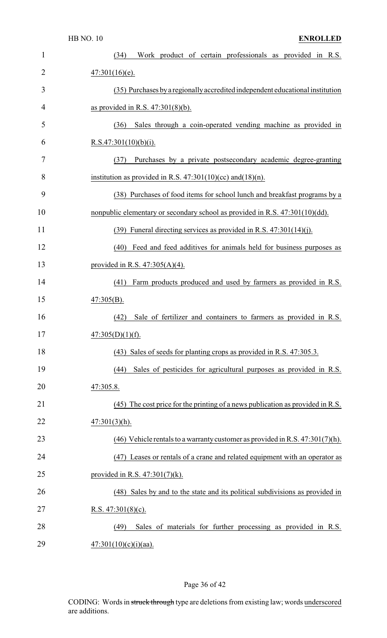| $\mathbf{1}$ | Work product of certain professionals as provided in R.S.<br>(34)                |
|--------------|----------------------------------------------------------------------------------|
| 2            | $47:301(16)(e)$ .                                                                |
| 3            | (35) Purchases by a regionally accredited independent educational institution    |
| 4            | as provided in R.S. $47:301(8)(b)$ .                                             |
| 5            | Sales through a coin-operated vending machine as provided in<br>(36)             |
| 6            | R.S.47:301(10)(b)(i).                                                            |
| 7            | Purchases by a private postsecondary academic degree-granting<br>(37)            |
| 8            | institution as provided in R.S. $47:301(10)(cc)$ and $(18)(n)$ .                 |
| 9            | (38) Purchases of food items for school lunch and breakfast programs by a        |
| 10           | nonpublic elementary or secondary school as provided in R.S. 47:301(10)(dd).     |
| 11           | $(39)$ Funeral directing services as provided in R.S. 47:301(14)(j).             |
| 12           | (40) Feed and feed additives for animals held for business purposes as           |
| 13           | provided in R.S. $47:305(A)(4)$ .                                                |
| 14           | Farm products produced and used by farmers as provided in R.S.<br>(41)           |
| 15           | $47:305(B)$ .                                                                    |
| 16           | Sale of fertilizer and containers to farmers as provided in R.S.<br>(42)         |
| 17           | $47:305(D)(1)(f)$ .                                                              |
| 18           | (43) Sales of seeds for planting crops as provided in R.S. 47:305.3.             |
| 19           | Sales of pesticides for agricultural purposes as provided in R.S.<br>(44)        |
| 20           | 47:305.8.                                                                        |
| 21           | (45) The cost price for the printing of a news publication as provided in R.S.   |
| 22           | $47:301(3)(h)$ .                                                                 |
| 23           | (46) Vehicle rentals to a warranty customer as provided in R.S. $47:301(7)$ (h). |
| 24           | (47) Leases or rentals of a crane and related equipment with an operator as      |
| 25           | provided in R.S. $47:301(7)(k)$ .                                                |
| 26           | (48) Sales by and to the state and its political subdivisions as provided in     |
| 27           | R.S. $47:301(8)(c)$ .                                                            |
| 28           | Sales of materials for further processing as provided in R.S.<br>(49)            |
| 29           | $47:301(10)(c)(i)(aa)$ .                                                         |

## Page 36 of 42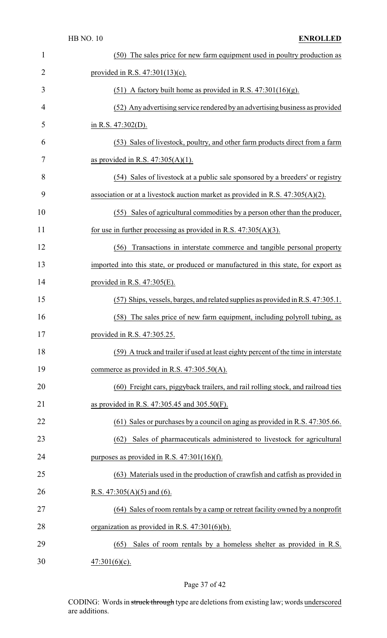| $\mathbf{1}$   | (50) The sales price for new farm equipment used in poultry production as          |
|----------------|------------------------------------------------------------------------------------|
| $\overline{2}$ | provided in R.S. $47:301(13)(c)$ .                                                 |
| 3              | (51) A factory built home as provided in R.S. $47:301(16)(g)$ .                    |
| 4              | (52) Any advertising service rendered by an advertising business as provided       |
| 5              | in R.S. $47:302(D)$ .                                                              |
| 6              | (53) Sales of livestock, poultry, and other farm products direct from a farm       |
| 7              | as provided in R.S. $47:305(A)(1)$ .                                               |
| 8              | (54) Sales of livestock at a public sale sponsored by a breeders' or registry      |
| 9              | association or at a livestock auction market as provided in R.S. $47:305(A)(2)$ .  |
| 10             | (55) Sales of agricultural commodities by a person other than the producer,        |
| 11             | for use in further processing as provided in R.S. $47:305(A)(3)$ .                 |
| 12             | Transactions in interstate commerce and tangible personal property<br>(56)         |
| 13             | imported into this state, or produced or manufactured in this state, for export as |
| 14             | provided in R.S. $47:305(E)$ .                                                     |
| 15             | (57) Ships, vessels, barges, and related supplies as provided in R.S. 47:305.1.    |
| 16             | (58) The sales price of new farm equipment, including polyroll tubing, as          |
| 17             | provided in R.S. 47:305.25.                                                        |
| 18             | (59) A truck and trailer if used at least eighty percent of the time in interstate |
| 19             | commerce as provided in R.S. 47:305.50(A).                                         |
| 20             | (60) Freight cars, piggyback trailers, and rail rolling stock, and railroad ties   |
| 21             | as provided in R.S. $47:305.45$ and $305.50(F)$ .                                  |
| 22             | (61) Sales or purchases by a council on aging as provided in R.S. 47:305.66.       |
| 23             | Sales of pharmaceuticals administered to livestock for agricultural<br>(62)        |
| 24             | purposes as provided in R.S. $47:301(16)(f)$ .                                     |
| 25             | (63) Materials used in the production of crawfish and catfish as provided in       |
| 26             | R.S. $47:305(A)(5)$ and (6).                                                       |
| 27             | (64) Sales of room rentals by a camp or retreat facility owned by a nonprofit      |
| 28             | organization as provided in R.S. $47:301(6)(b)$ .                                  |
| 29             | Sales of room rentals by a homeless shelter as provided in R.S.<br>(65)            |
| 30             | $47:301(6)(c)$ .                                                                   |

## Page 37 of 42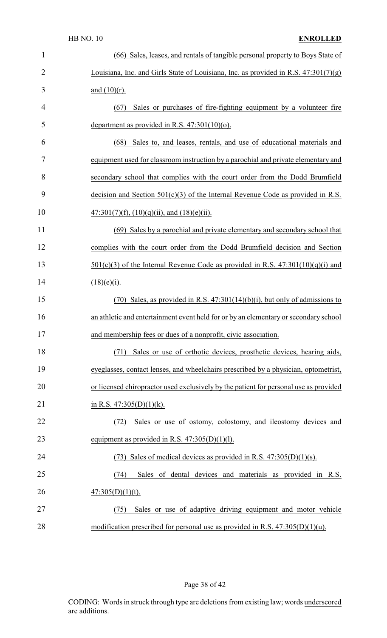| $\mathbf{1}$ | (66) Sales, leases, and rentals of tangible personal property to Boys State of        |
|--------------|---------------------------------------------------------------------------------------|
| 2            | Louisiana, Inc. and Girls State of Louisiana, Inc. as provided in R.S. $47:301(7)(g)$ |
| 3            | and $(10)(r)$ .                                                                       |
| 4            | Sales or purchases of fire-fighting equipment by a volunteer fire<br>(67)             |
| 5            | department as provided in R.S. $47:301(10)(o)$ .                                      |
| 6            | Sales to, and leases, rentals, and use of educational materials and<br>(68)           |
| 7            | equipment used for classroom instruction by a parochial and private elementary and    |
| 8            | secondary school that complies with the court order from the Dodd Brumfield           |
| 9            | decision and Section $501(c)(3)$ of the Internal Revenue Code as provided in R.S.     |
| 10           | $47:301(7)(f), (10)(q)(ii),$ and $(18)(e)(ii)$ .                                      |
| 11           | (69) Sales by a parochial and private elementary and secondary school that            |
| 12           | complies with the court order from the Dodd Brumfield decision and Section            |
| 13           | $501(c)(3)$ of the Internal Revenue Code as provided in R.S. $47:301(10)(q)(i)$ and   |
| 14           | $(18)(e)(i)$ .                                                                        |
| 15           | $(70)$ Sales, as provided in R.S. $47:301(14)(b)(i)$ , but only of admissions to      |
| 16           | an athletic and entertainment event held for or by an elementary or secondary school  |
| 17           | and membership fees or dues of a nonprofit, civic association.                        |
| 18           | Sales or use of orthotic devices, prosthetic devices, hearing aids,<br>(71)           |
| 19           | eyeglasses, contact lenses, and wheelchairs prescribed by a physician, optometrist,   |
| 20           | or licensed chiropractor used exclusively by the patient for personal use as provided |
| 21           | in R.S. $47:305(D)(1)(k)$ .                                                           |
| 22           | Sales or use of ostomy, colostomy, and ileostomy devices and<br>(72)                  |
| 23           | equipment as provided in R.S. $47:305(D)(1)(1)$ .                                     |
| 24           | (73) Sales of medical devices as provided in R.S. $47:305(D)(1)(s)$ .                 |
| 25           | Sales of dental devices and materials as provided in R.S.<br>(74)                     |
| 26           | $47:305(D)(1)(t)$ .                                                                   |
| 27           | Sales or use of adaptive driving equipment and motor vehicle<br>(75)                  |
| 28           | modification prescribed for personal use as provided in R.S. $47:305(D)(1)(u)$ .      |

Page 38 of 42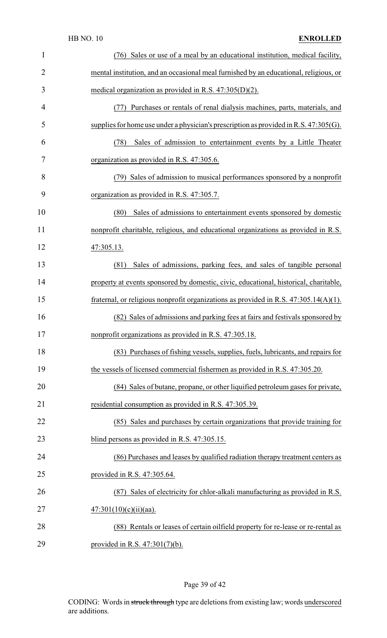| 1              | (76) Sales or use of a meal by an educational institution, medical facility,             |
|----------------|------------------------------------------------------------------------------------------|
| $\overline{2}$ | mental institution, and an occasional meal furnished by an educational, religious, or    |
| 3              | medical organization as provided in R.S. $47:305(D)(2)$ .                                |
| 4              | (77) Purchases or rentals of renal dialysis machines, parts, materials, and              |
| 5              | supplies for home use under a physician's prescription as provided in R.S. $47:305(G)$ . |
| 6              | (78)<br>Sales of admission to entertainment events by a Little Theater                   |
| 7              | organization as provided in R.S. 47:305.6.                                               |
| 8              | (79) Sales of admission to musical performances sponsored by a nonprofit                 |
| 9              | organization as provided in R.S. 47:305.7.                                               |
| 10             | (80)<br>Sales of admissions to entertainment events sponsored by domestic                |
| 11             | nonprofit charitable, religious, and educational organizations as provided in R.S.       |
| 12             | 47:305.13.                                                                               |
| 13             | Sales of admissions, parking fees, and sales of tangible personal<br>(81)                |
| 14             | property at events sponsored by domestic, civic, educational, historical, charitable,    |
| 15             | fraternal, or religious nonprofit organizations as provided in R.S. $47:305.14(A)(1)$ .  |
| 16             | (82) Sales of admissions and parking fees at fairs and festivals sponsored by            |
| 17             | nonprofit organizations as provided in R.S. 47:305.18.                                   |
| 18             | (83) Purchases of fishing vessels, supplies, fuels, lubricants, and repairs for          |
| 19             | the vessels of licensed commercial fishermen as provided in R.S. 47:305.20.              |
| 20             | (84) Sales of butane, propane, or other liquified petroleum gases for private,           |
| 21             | residential consumption as provided in R.S. 47:305.39.                                   |
| 22             | (85) Sales and purchases by certain organizations that provide training for              |
| 23             | blind persons as provided in R.S. 47:305.15.                                             |
| 24             | (86) Purchases and leases by qualified radiation therapy treatment centers as            |
| 25             | provided in R.S. 47:305.64.                                                              |
| 26             | Sales of electricity for chlor-alkali manufacturing as provided in R.S.<br>(87)          |
| 27             | $47:301(10)(c)(ii)(aa)$ .                                                                |
| 28             | (88) Rentals or leases of certain oilfield property for re-lease or re-rental as         |
| 29             | provided in R.S. $47:301(7)(b)$ .                                                        |

## Page 39 of 42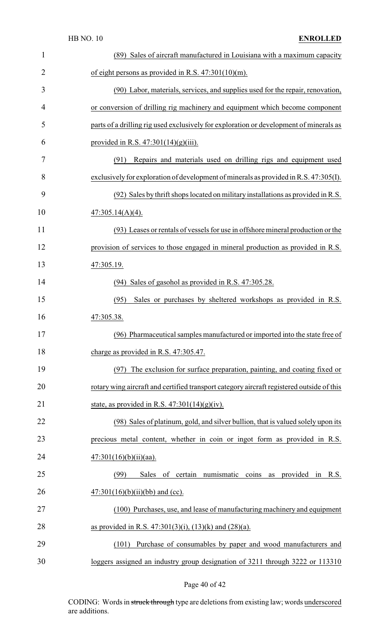| $\mathbf{1}$   | (89) Sales of aircraft manufactured in Louisiana with a maximum capacity                  |
|----------------|-------------------------------------------------------------------------------------------|
| $\overline{2}$ | of eight persons as provided in R.S. $47:301(10)(m)$ .                                    |
| 3              | (90) Labor, materials, services, and supplies used for the repair, renovation,            |
| 4              | or conversion of drilling rig machinery and equipment which become component              |
| 5              | parts of a drilling rig used exclusively for exploration or development of minerals as    |
| 6              | provided in R.S. $47:301(14)(g)(iii)$ .                                                   |
| 7              | Repairs and materials used on drilling rigs and equipment used<br>(91)                    |
| 8              | exclusively for exploration of development of minerals as provided in R.S. 47:305(I).     |
| 9              | (92) Sales by thrift shops located on military installations as provided in R.S.          |
| 10             | $47:305.14(A)(4)$ .                                                                       |
| 11             | (93) Leases or rentals of vessels for use in offshore mineral production or the           |
| 12             | provision of services to those engaged in mineral production as provided in R.S.          |
| 13             | 47:305.19.                                                                                |
| 14             | Sales of gasohol as provided in R.S. 47:305.28.<br>(94)                                   |
| 15             | Sales or purchases by sheltered workshops as provided in R.S.<br>(95)                     |
| 16             | 47:305.38.                                                                                |
| 17             | (96) Pharmaceutical samples manufactured or imported into the state free of               |
| 18             | charge as provided in R.S. 47:305.47.                                                     |
| 19             | The exclusion for surface preparation, painting, and coating fixed or<br>(97)             |
| 20             | rotary wing aircraft and certified transport category aircraft registered outside of this |
| 21             | state, as provided in R.S. $47:301(14)(g)(iv)$ .                                          |
| 22             | (98) Sales of platinum, gold, and silver bullion, that is valued solely upon its          |
| 23             | precious metal content, whether in coin or ingot form as provided in R.S.                 |
| 24             | $47:301(16)(b)(ii)(aa)$ .                                                                 |
| 25             | of certain numismatic<br>(99)<br>coins as provided<br>R.S.<br>Sales<br>in                 |
| 26             | $47:301(16)(b)(ii)(bb)$ and (cc).                                                         |
| 27             | (100) Purchases, use, and lease of manufacturing machinery and equipment                  |
| 28             | as provided in R.S. $47:301(3)(i)$ , $(13)(k)$ and $(28)(a)$ .                            |
| 29             | Purchase of consumables by paper and wood manufacturers and<br>(101)                      |
| 30             | loggers assigned an industry group designation of 3211 through 3222 or 113310             |

## Page 40 of 42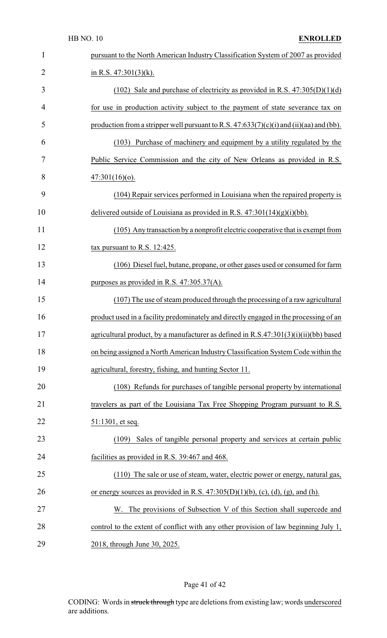| $\mathbf{1}$   | pursuant to the North American Industry Classification System of 2007 as provided         |
|----------------|-------------------------------------------------------------------------------------------|
| $\overline{2}$ | in R.S. $47:301(3)(k)$ .                                                                  |
| 3              | (102) Sale and purchase of electricity as provided in R.S. $47:305(D)(1)(d)$              |
| $\overline{4}$ | for use in production activity subject to the payment of state severance tax on           |
| 5              | production from a stripper well pursuant to R.S. $47:633(7)(c)(i)$ and (ii)(aa) and (bb). |
| 6              | (103) Purchase of machinery and equipment by a utility regulated by the                   |
| 7              | Public Service Commission and the city of New Orleans as provided in R.S.                 |
| 8              | $47:301(16)(o)$ .                                                                         |
| 9              | (104) Repair services performed in Louisiana when the repaired property is                |
| 10             | delivered outside of Louisiana as provided in R.S. $47:301(14)(g)(i)(bb)$ .               |
| 11             | (105) Any transaction by a nonprofit electric cooperative that is exempt from             |
| 12             | tax pursuant to R.S. $12:425$ .                                                           |
| 13             | (106) Diesel fuel, butane, propane, or other gases used or consumed for farm              |
| 14             | purposes as provided in R.S. $47:305.37(A)$ .                                             |
| 15             | (107) The use of steam produced through the processing of a raw agricultural              |
| 16             | product used in a facility predominately and directly engaged in the processing of an     |
| 17             | agricultural product, by a manufacturer as defined in R.S.47:301(3)(i)(ii)(bb) based      |
| 18             | on being assigned a North American Industry Classification System Code within the         |
| 19             | agricultural, forestry, fishing, and hunting Sector 11.                                   |
| 20             | (108) Refunds for purchases of tangible personal property by international                |
| 21             | travelers as part of the Louisiana Tax Free Shopping Program pursuant to R.S.             |
| 22             | 51:1301, et seq.                                                                          |
| 23             | Sales of tangible personal property and services at certain public<br>(109)               |
| 24             | facilities as provided in R.S. 39:467 and 468.                                            |
| 25             | (110) The sale or use of steam, water, electric power or energy, natural gas,             |
| 26             | or energy sources as provided in R.S. $47:305(D)(1)(b)$ , (c), (d), (g), and (h).         |
| 27             | The provisions of Subsection V of this Section shall supercede and<br>W.                  |
| 28             | control to the extent of conflict with any other provision of law beginning July 1,       |
| 29             | 2018, through June 30, 2025.                                                              |

## Page 41 of 42